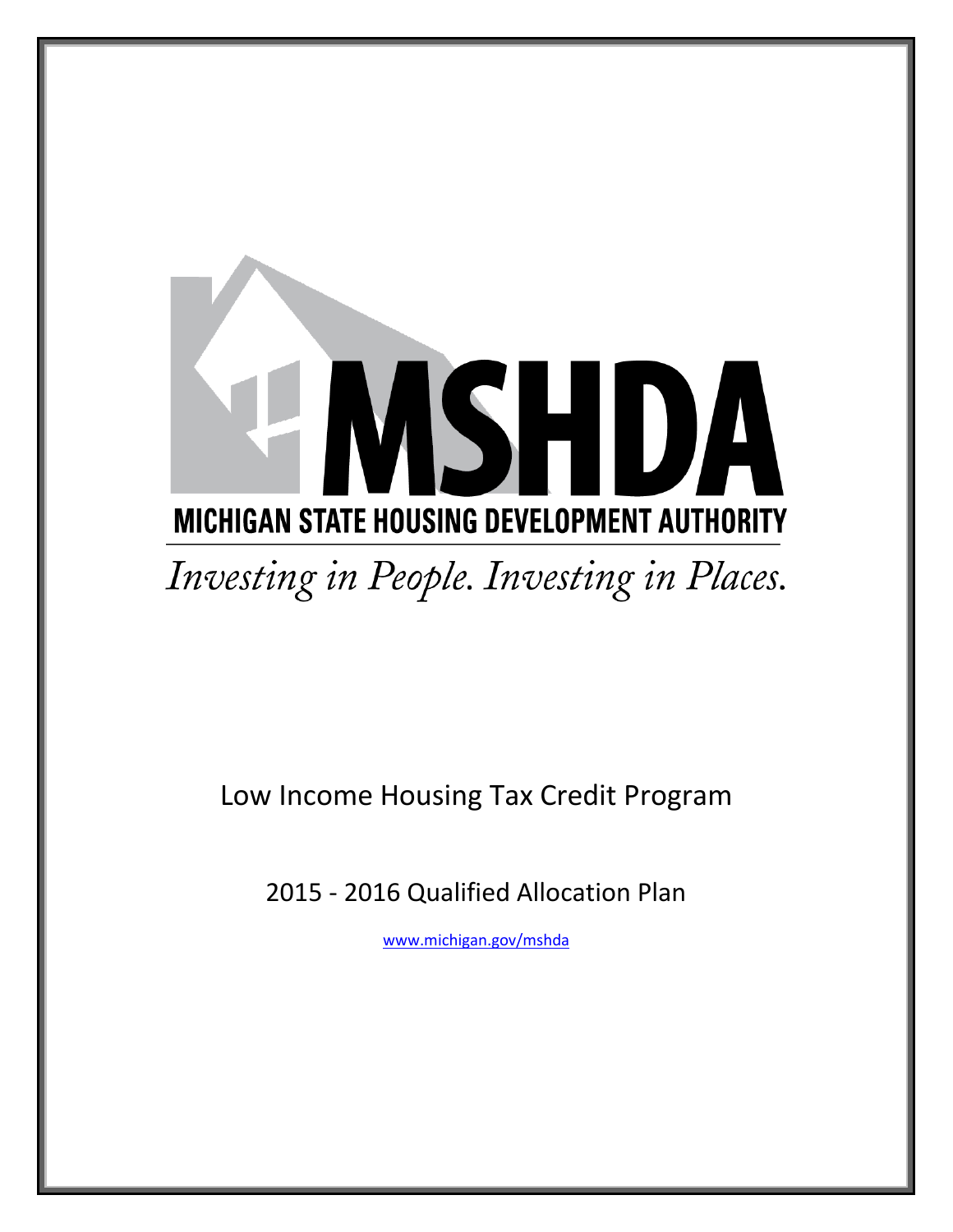# **ASHDA MICHIGAN STATE HOUSING DEVELOPMENT AUTHORITY** Investing in People. Investing in Places.

# Low Income Housing Tax Credit Program

2015 - 2016 Qualified Allocation Plan

[www.michigan.gov/mshda](http://www.michigan.gov/mshda)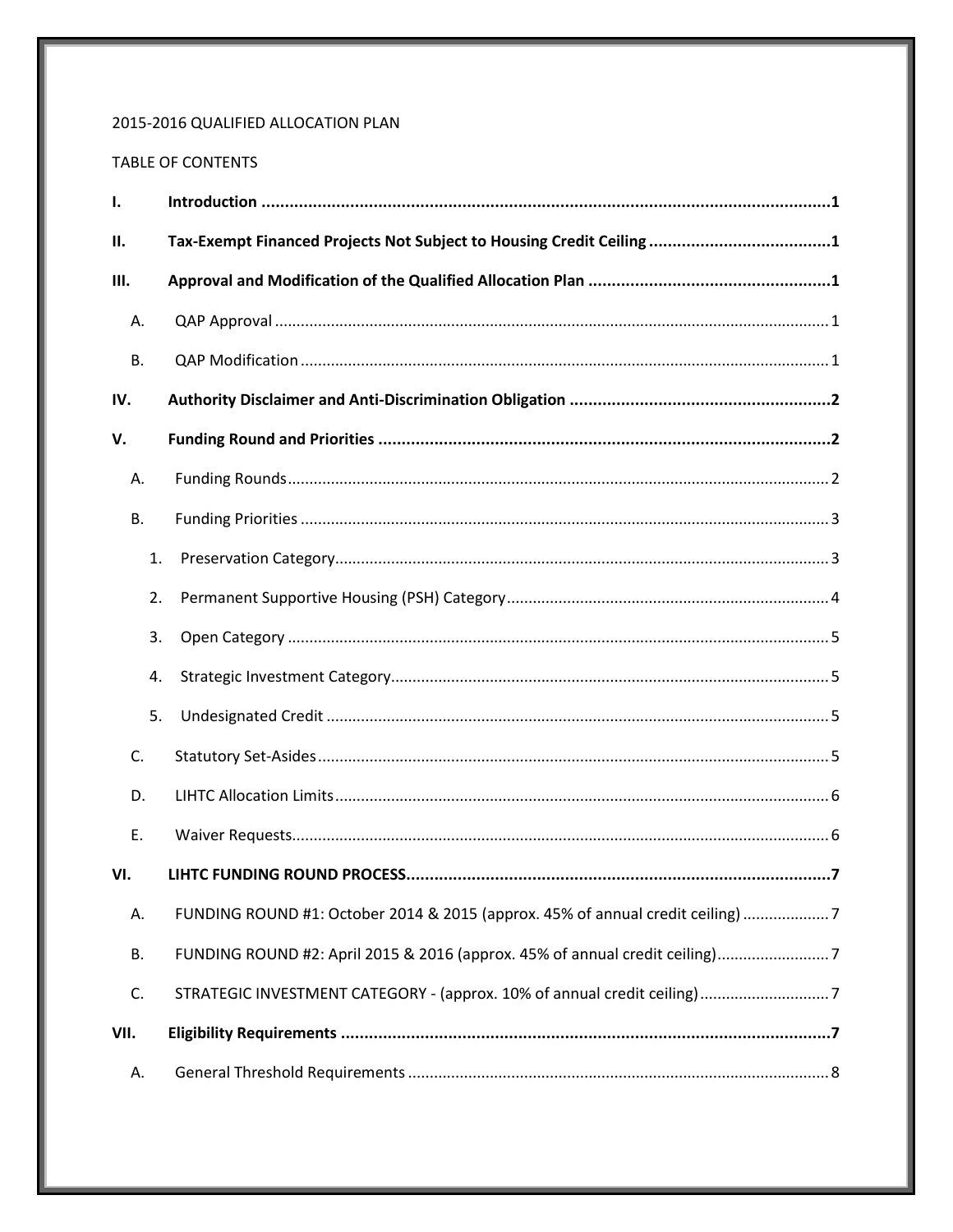# 2015-2016 QUALIFIED ALLOCATION PLAN

# TABLE OF CONTENTS

| Ι.        |    |                                                                                |
|-----------|----|--------------------------------------------------------------------------------|
| Н.        |    |                                                                                |
| Ш.        |    |                                                                                |
| Α.        |    |                                                                                |
| <b>B.</b> |    |                                                                                |
| IV.       |    |                                                                                |
| v.        |    |                                                                                |
| Α.        |    |                                                                                |
| В.        |    |                                                                                |
|           | 1. |                                                                                |
|           | 2. |                                                                                |
|           | 3. |                                                                                |
|           | 4. |                                                                                |
|           | 5. |                                                                                |
| C.        |    |                                                                                |
| D.        |    |                                                                                |
| Ε.        |    |                                                                                |
| VI.       |    |                                                                                |
| Α.        |    | FUNDING ROUND #1: October 2014 & 2015 (approx. 45% of annual credit ceiling) 7 |
| <b>B.</b> |    |                                                                                |
| C.        |    |                                                                                |
| VII.      |    |                                                                                |
| Α.        |    |                                                                                |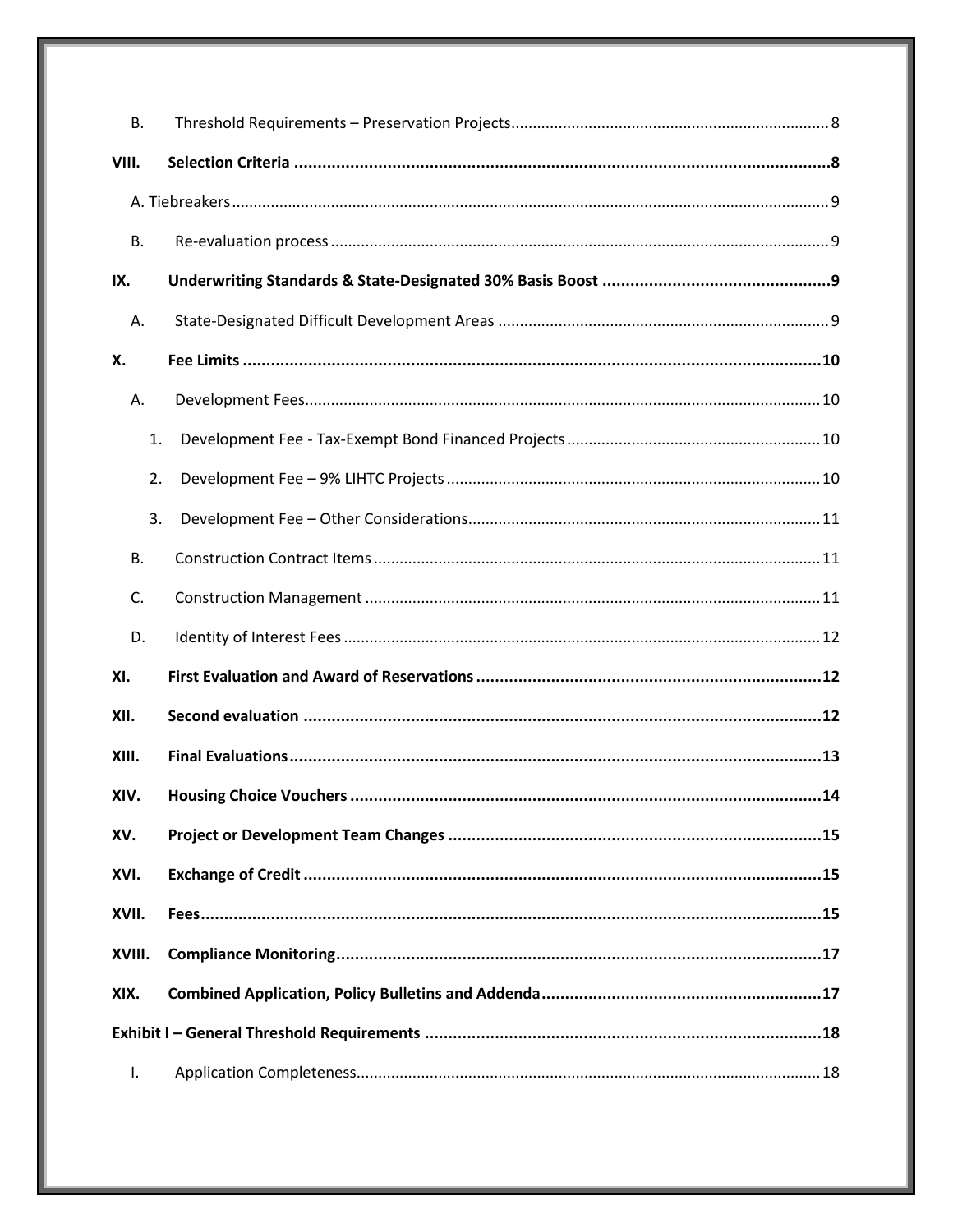| В.        |  |  |  |
|-----------|--|--|--|
| VIII.     |  |  |  |
|           |  |  |  |
| <b>B.</b> |  |  |  |
| IX.       |  |  |  |
| Α.        |  |  |  |
| Х.        |  |  |  |
| А.        |  |  |  |
| 1.        |  |  |  |
| 2.        |  |  |  |
| 3.        |  |  |  |
| В.        |  |  |  |
| C.        |  |  |  |
| D.        |  |  |  |
| XI.       |  |  |  |
| XII.      |  |  |  |
| XIII.     |  |  |  |
| XIV.      |  |  |  |
| XV.       |  |  |  |
| XVI.      |  |  |  |
| XVII.     |  |  |  |
| XVIII.    |  |  |  |
| XIX.      |  |  |  |
|           |  |  |  |
| Ι.        |  |  |  |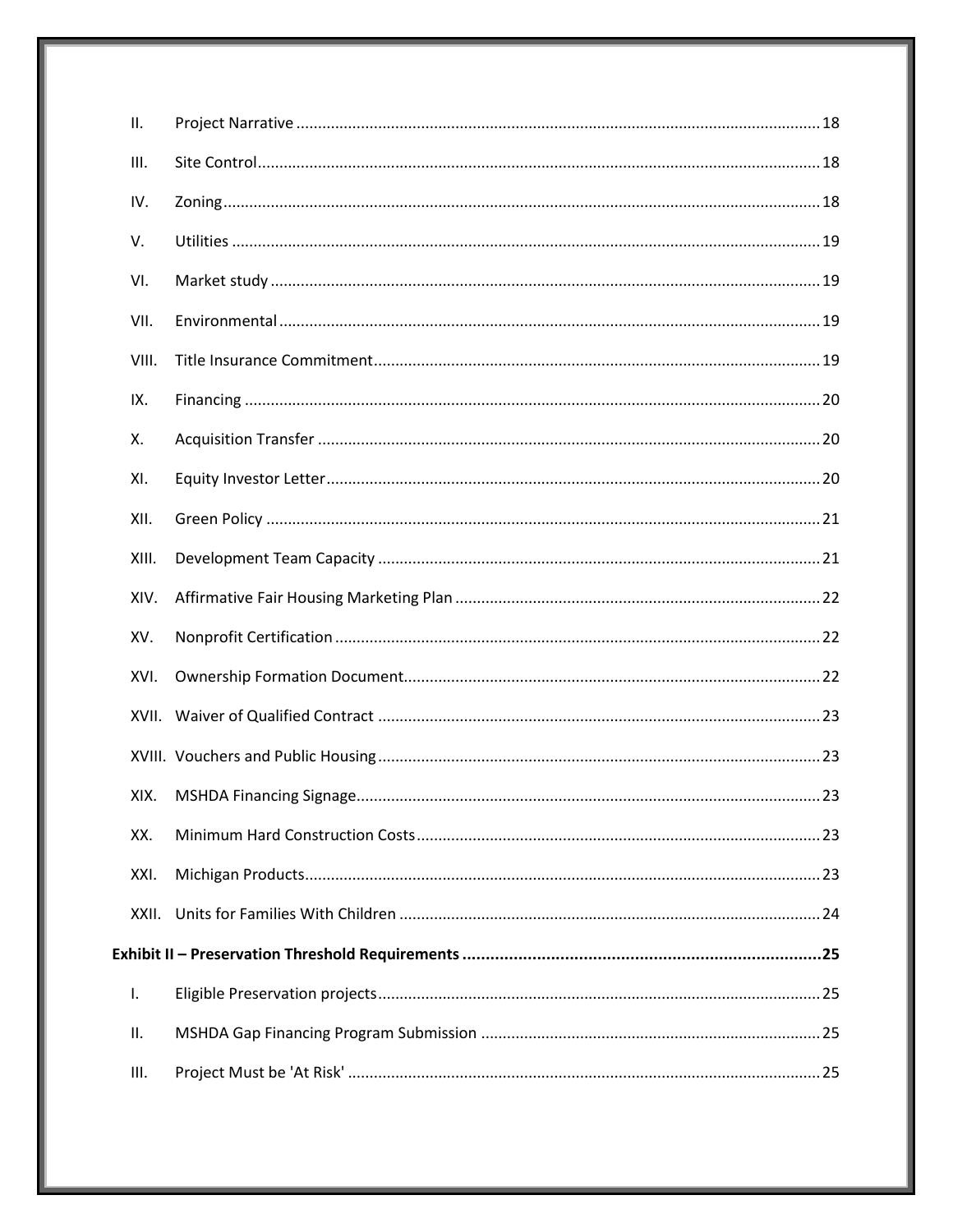| ΙΙ.   |  |
|-------|--|
| Ш.    |  |
| IV.   |  |
| V.    |  |
| VI.   |  |
| VII.  |  |
| VIII. |  |
| IX.   |  |
| Х.    |  |
| XI.   |  |
| XII.  |  |
| XIII. |  |
| XIV.  |  |
| XV.   |  |
| XVI.  |  |
| XVII. |  |
|       |  |
| XIX.  |  |
| XX.   |  |
| XXI.  |  |
| XXII. |  |
|       |  |
| I.    |  |
| ΙΙ.   |  |
| III.  |  |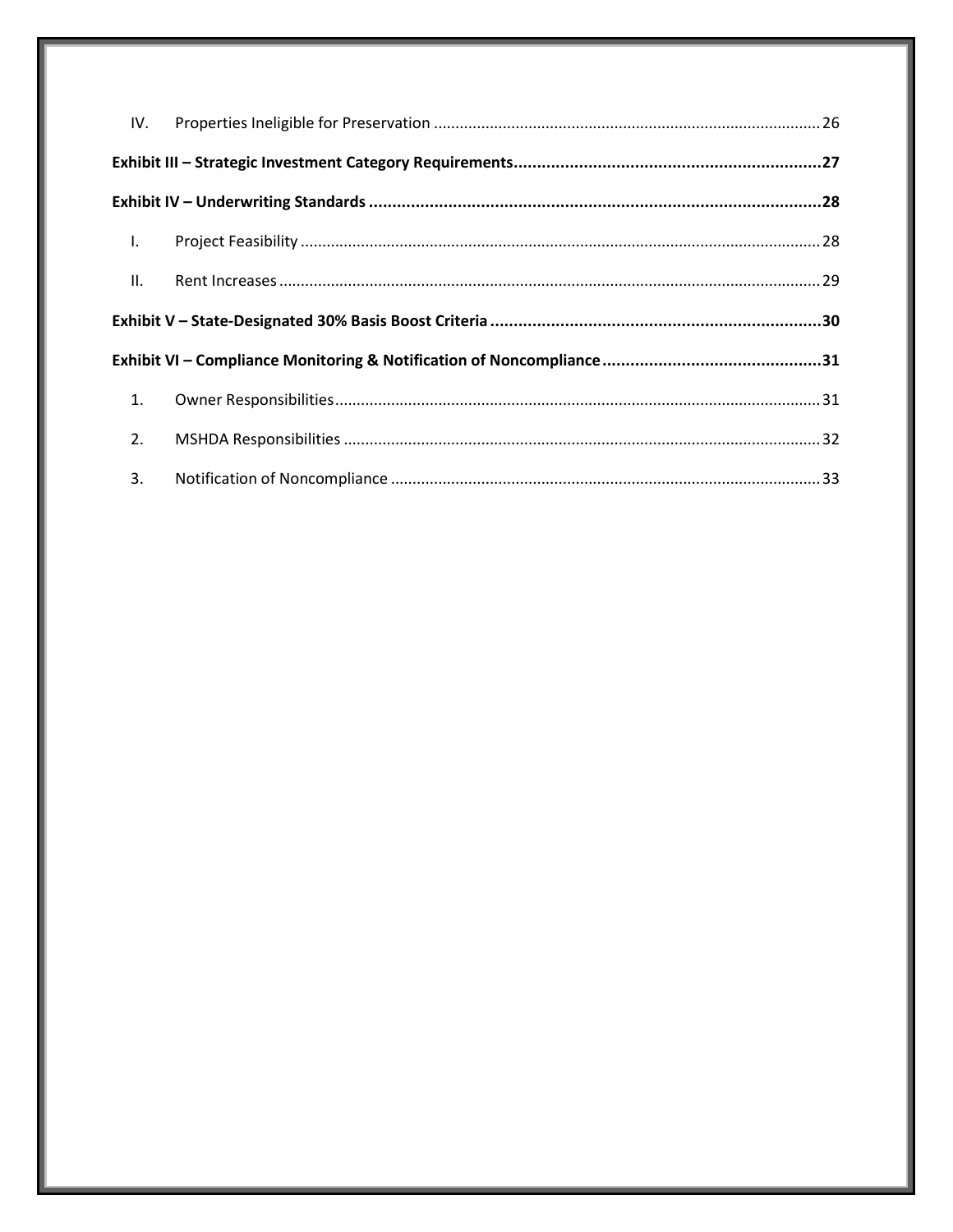| $\mathbf{L}$ |  |  |  |  |
|--------------|--|--|--|--|
| II.          |  |  |  |  |
|              |  |  |  |  |
|              |  |  |  |  |
| 1.           |  |  |  |  |
| 2.           |  |  |  |  |
| $\sim$ 3.    |  |  |  |  |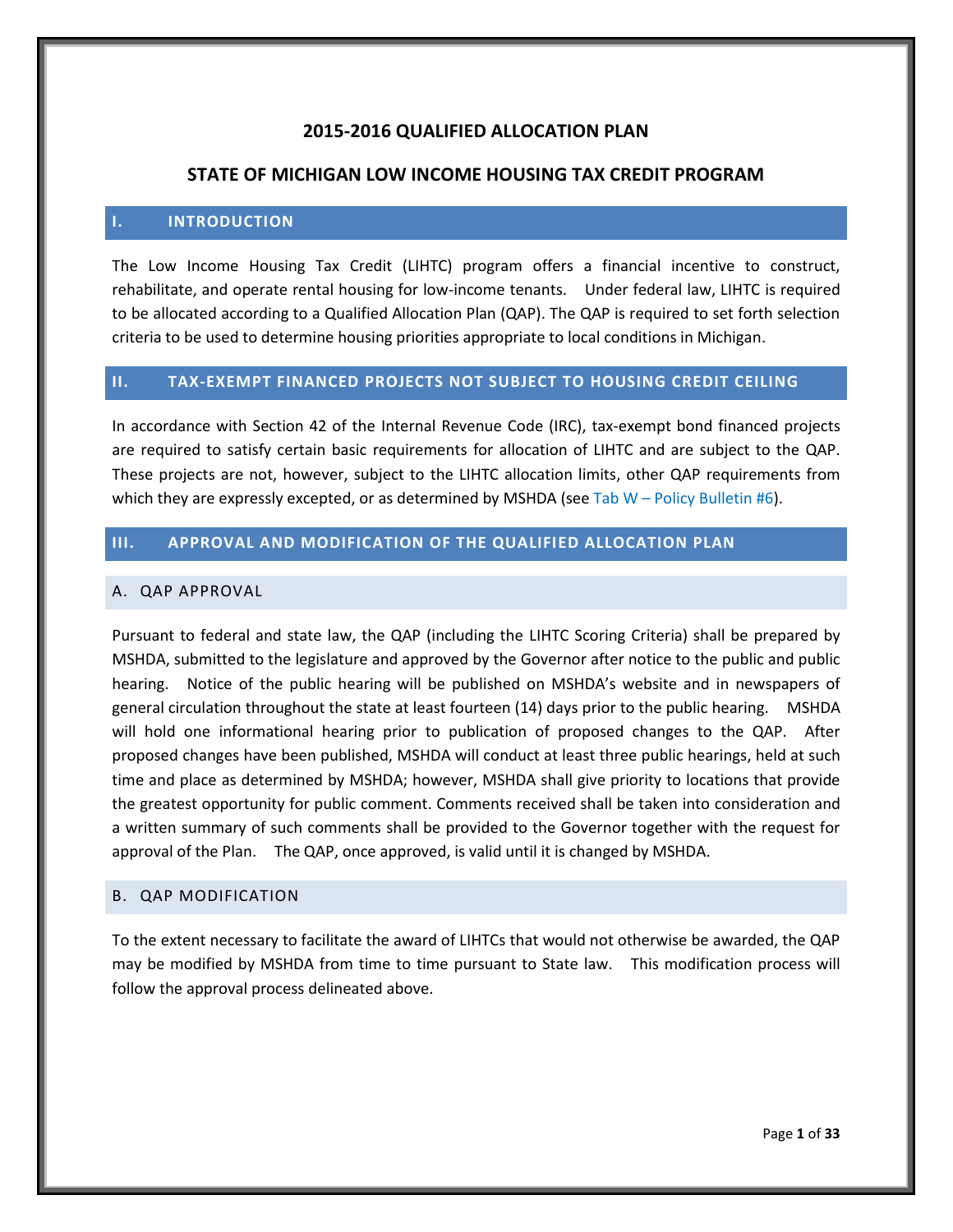# **2015-2016 QUALIFIED ALLOCATION PLAN**

# **STATE OF MICHIGAN LOW INCOME HOUSING TAX CREDIT PROGRAM**

#### <span id="page-5-0"></span>**I. INTRODUCTION**

The Low Income Housing Tax Credit (LIHTC) program offers a financial incentive to construct, rehabilitate, and operate rental housing for low-income tenants. Under federal law, LIHTC is required to be allocated according to a Qualified Allocation Plan (QAP). The QAP is required to set forth selection criteria to be used to determine housing priorities appropriate to local conditions in Michigan.

#### <span id="page-5-1"></span>**II. TAX-EXEMPT FINANCED PROJECTS NOT SUBJECT TO HOUSING CREDIT CEILING**

In accordance with Section 42 of the Internal Revenue Code (IRC), tax-exempt bond financed projects are required to satisfy certain basic requirements for allocation of LIHTC and are subject to the QAP. These projects are not, however, subject to the LIHTC allocation limits, other QAP requirements from which they are expressly excepted, or as determined by MSHDA (see Tab  $W$  – Policy Bulletin #6).

# <span id="page-5-2"></span>**III. APPROVAL AND MODIFICATION OF THE QUALIFIED ALLOCATION PLAN**

#### <span id="page-5-3"></span>A. QAP APPROVAL

Pursuant to federal and state law, the QAP (including the LIHTC Scoring Criteria) shall be prepared by MSHDA, submitted to the legislature and approved by the Governor after notice to the public and public hearing. Notice of the public hearing will be published on MSHDA's website and in newspapers of general circulation throughout the state at least fourteen (14) days prior to the public hearing. MSHDA will hold one informational hearing prior to publication of proposed changes to the QAP. After proposed changes have been published, MSHDA will conduct at least three public hearings, held at such time and place as determined by MSHDA; however, MSHDA shall give priority to locations that provide the greatest opportunity for public comment. Comments received shall be taken into consideration and a written summary of such comments shall be provided to the Governor together with the request for approval of the Plan. The QAP, once approved, is valid until it is changed by MSHDA.

# <span id="page-5-4"></span>B. QAP MODIFICATION

To the extent necessary to facilitate the award of LIHTCs that would not otherwise be awarded, the QAP may be modified by MSHDA from time to time pursuant to State law. This modification process will follow the approval process delineated above.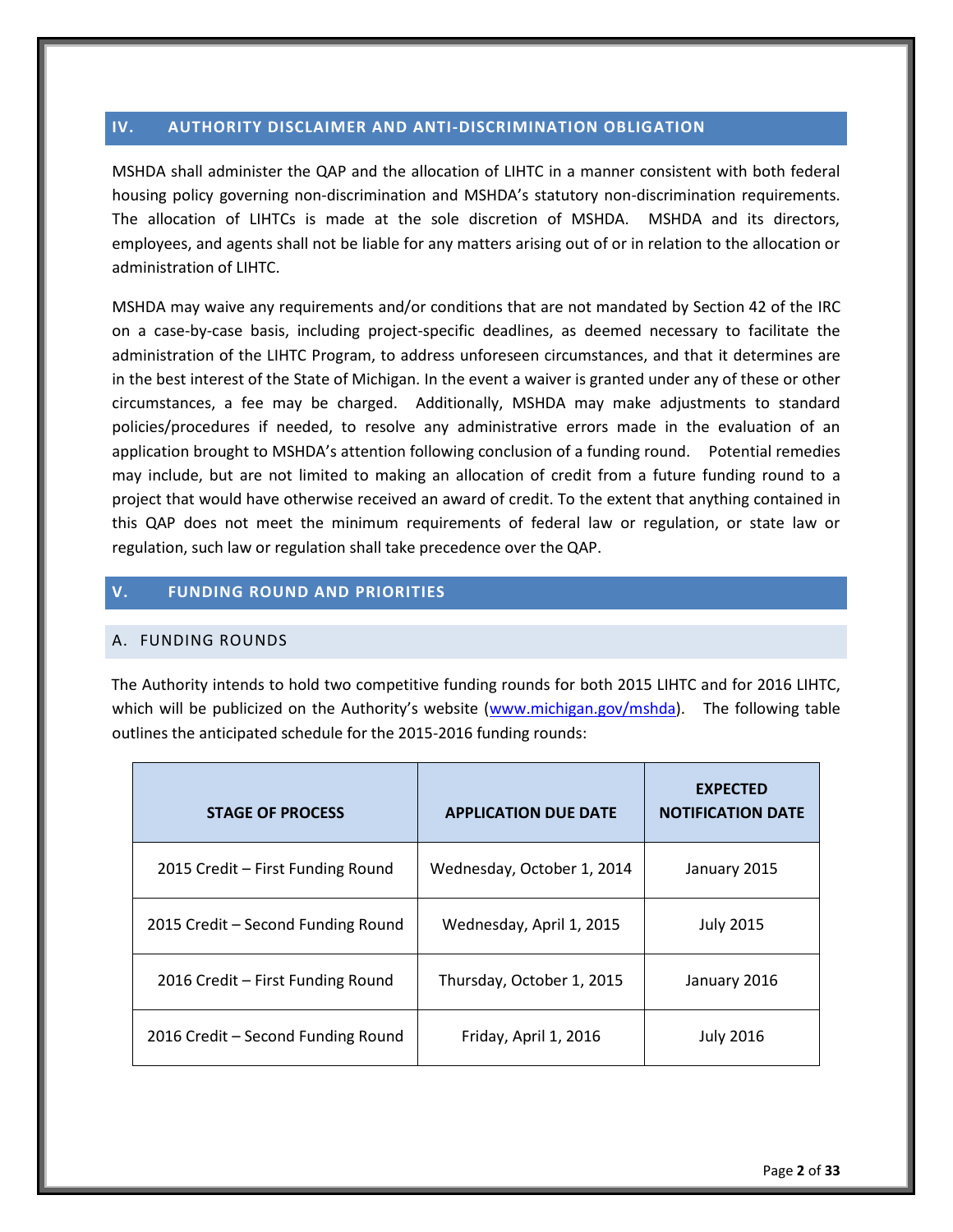# <span id="page-6-0"></span>**IV. AUTHORITY DISCLAIMER AND ANTI-DISCRIMINATION OBLIGATION**

MSHDA shall administer the QAP and the allocation of LIHTC in a manner consistent with both federal housing policy governing non-discrimination and MSHDA's statutory non-discrimination requirements. The allocation of LIHTCs is made at the sole discretion of MSHDA. MSHDA and its directors, employees, and agents shall not be liable for any matters arising out of or in relation to the allocation or administration of LIHTC.

MSHDA may waive any requirements and/or conditions that are not mandated by Section 42 of the IRC on a case-by-case basis, including project-specific deadlines, as deemed necessary to facilitate the administration of the LIHTC Program, to address unforeseen circumstances, and that it determines are in the best interest of the State of Michigan. In the event a waiver is granted under any of these or other circumstances, a fee may be charged. Additionally, MSHDA may make adjustments to standard policies/procedures if needed, to resolve any administrative errors made in the evaluation of an application brought to MSHDA's attention following conclusion of a funding round. Potential remedies may include, but are not limited to making an allocation of credit from a future funding round to a project that would have otherwise received an award of credit. To the extent that anything contained in this QAP does not meet the minimum requirements of federal law or regulation, or state law or regulation, such law or regulation shall take precedence over the QAP.

# <span id="page-6-1"></span>**V. FUNDING ROUND AND PRIORITIES**

# <span id="page-6-2"></span>A. FUNDING ROUNDS

The Authority intends to hold two competitive funding rounds for both 2015 LIHTC and for 2016 LIHTC, which will be publicized on the Authority's website (www.michigan.gov/mshda). The following table outlines the anticipated schedule for the 2015-2016 funding rounds:

| <b>STAGE OF PROCESS</b>            | <b>APPLICATION DUE DATE</b> | <b>EXPECTED</b><br><b>NOTIFICATION DATE</b> |
|------------------------------------|-----------------------------|---------------------------------------------|
| 2015 Credit - First Funding Round  | Wednesday, October 1, 2014  | January 2015                                |
| 2015 Credit - Second Funding Round | Wednesday, April 1, 2015    | <b>July 2015</b>                            |
| 2016 Credit - First Funding Round  | Thursday, October 1, 2015   | January 2016                                |
| 2016 Credit - Second Funding Round | Friday, April 1, 2016       | <b>July 2016</b>                            |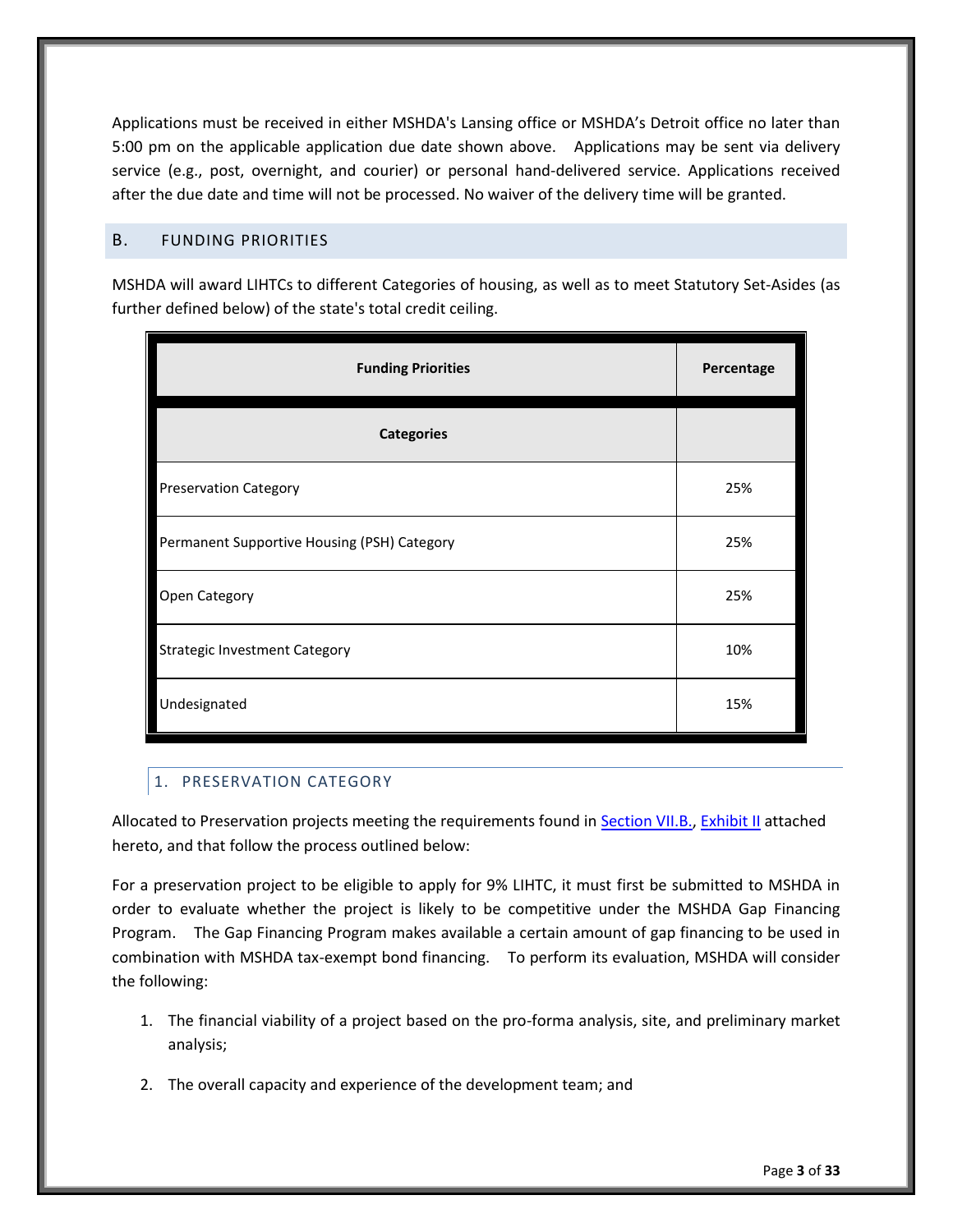Applications must be received in either MSHDA's Lansing office or MSHDA's Detroit office no later than 5:00 pm on the applicable application due date shown above. Applications may be sent via delivery service (e.g., post, overnight, and courier) or personal hand-delivered service. Applications received after the due date and time will not be processed. No waiver of the delivery time will be granted.

# <span id="page-7-0"></span>B. FUNDING PRIORITIES

MSHDA will award LIHTCs to different Categories of housing, as well as to meet Statutory Set-Asides (as further defined below) of the state's total credit ceiling.

| <b>Funding Priorities</b>                   | Percentage |
|---------------------------------------------|------------|
| <b>Categories</b>                           |            |
| <b>Preservation Category</b>                | 25%        |
| Permanent Supportive Housing (PSH) Category | 25%        |
| Open Category                               | 25%        |
| <b>Strategic Investment Category</b>        | 10%        |
| Undesignated                                | 15%        |

# <span id="page-7-1"></span>1. PRESERVATION CATEGORY

Allocated to Preservation projects meeting the requirements found in [Section VII.B.,](#page-12-1) [Exhibit II](#page-29-0) attached hereto, and that follow the process outlined below:

For a preservation project to be eligible to apply for 9% LIHTC, it must first be submitted to MSHDA in order to evaluate whether the project is likely to be competitive under the MSHDA Gap Financing Program. The Gap Financing Program makes available a certain amount of gap financing to be used in combination with MSHDA tax-exempt bond financing. To perform its evaluation, MSHDA will consider the following:

- 1. The financial viability of a project based on the pro-forma analysis, site, and preliminary market analysis;
- 2. The overall capacity and experience of the development team; and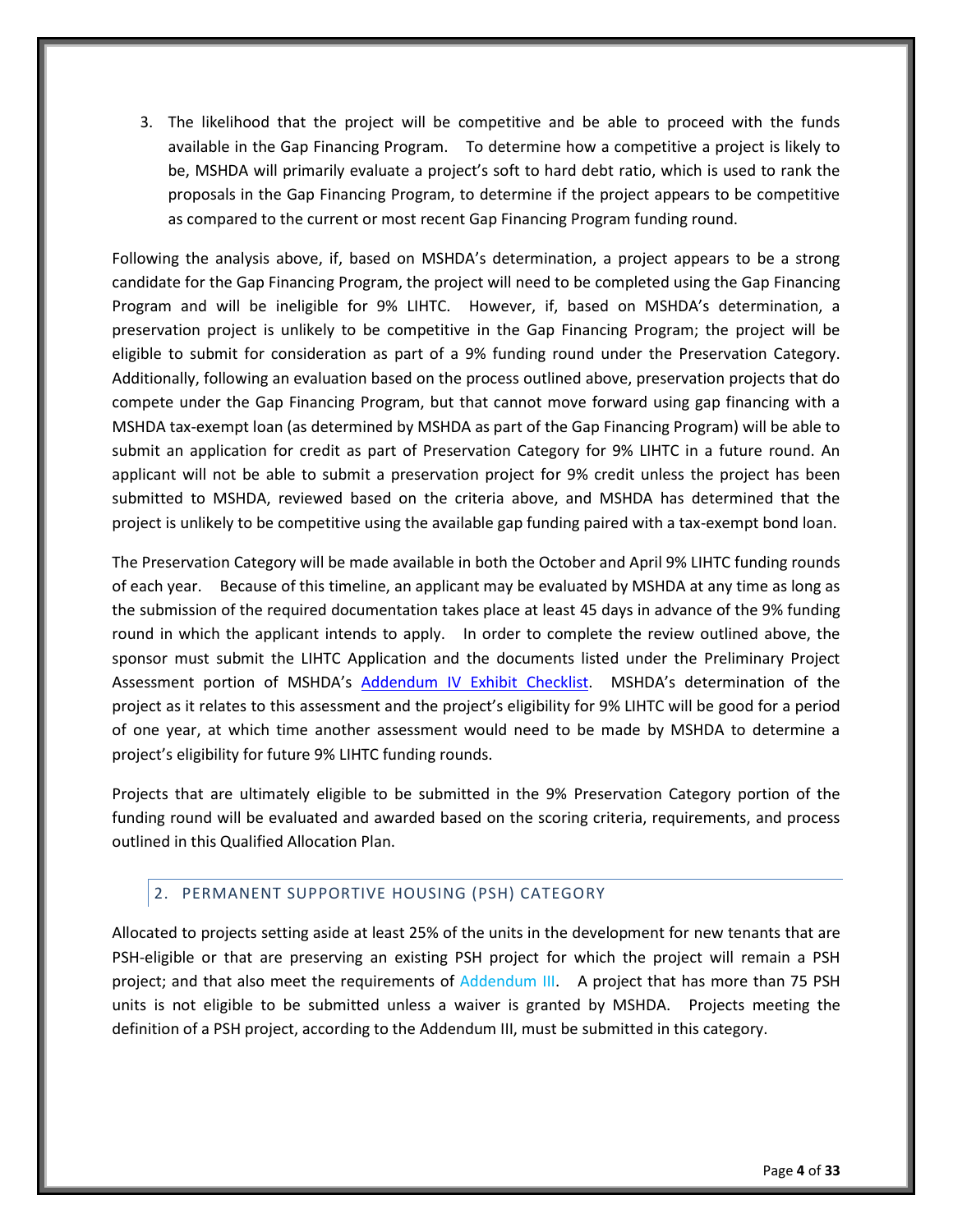3. The likelihood that the project will be competitive and be able to proceed with the funds available in the Gap Financing Program. To determine how a competitive a project is likely to be, MSHDA will primarily evaluate a project's soft to hard debt ratio, which is used to rank the proposals in the Gap Financing Program, to determine if the project appears to be competitive as compared to the current or most recent Gap Financing Program funding round.

Following the analysis above, if, based on MSHDA's determination, a project appears to be a strong candidate for the Gap Financing Program, the project will need to be completed using the Gap Financing Program and will be ineligible for 9% LIHTC. However, if, based on MSHDA's determination, a preservation project is unlikely to be competitive in the Gap Financing Program; the project will be eligible to submit for consideration as part of a 9% funding round under the Preservation Category. Additionally, following an evaluation based on the process outlined above, preservation projects that do compete under the Gap Financing Program, but that cannot move forward using gap financing with a MSHDA tax-exempt loan (as determined by MSHDA as part of the Gap Financing Program) will be able to submit an application for credit as part of Preservation Category for 9% LIHTC in a future round. An applicant will not be able to submit a preservation project for 9% credit unless the project has been submitted to MSHDA, reviewed based on the criteria above, and MSHDA has determined that the project is unlikely to be competitive using the available gap funding paired with a tax-exempt bond loan.

The Preservation Category will be made available in both the October and April 9% LIHTC funding rounds of each year. Because of this timeline, an applicant may be evaluated by MSHDA at any time as long as the submission of the required documentation takes place at least 45 days in advance of the 9% funding round in which the applicant intends to apply. In order to complete the review outlined above, the sponsor must submit the LIHTC Application and the documents listed under the Preliminary Project Assessment portion of MSHDA's [Addendum IV Exhibit Checklist](http://michigan.gov/documents/mshda/MSHDA-Addendum-IV-Exhibit-Checklist-2011-APPROVED_371266_7.pdf). MSHDA's determination of the project as it relates to this assessment and the project's eligibility for 9% LIHTC will be good for a period of one year, at which time another assessment would need to be made by MSHDA to determine a project's eligibility for future 9% LIHTC funding rounds.

Projects that are ultimately eligible to be submitted in the 9% Preservation Category portion of the funding round will be evaluated and awarded based on the scoring criteria, requirements, and process outlined in this Qualified Allocation Plan.

# <span id="page-8-0"></span>2. PERMANENT SUPPORTIVE HOUSING (PSH) CATEGORY

Allocated to projects setting aside at least 25% of the units in the development for new tenants that are PSH-eligible or that are preserving an existing PSH project for which the project will remain a PSH project; and that also meet the requirements of Addendum III. A project that has more than 75 PSH units is not eligible to be submitted unless a waiver is granted by MSHDA. Projects meeting the definition of a PSH project, according to the Addendum III, must be submitted in this category.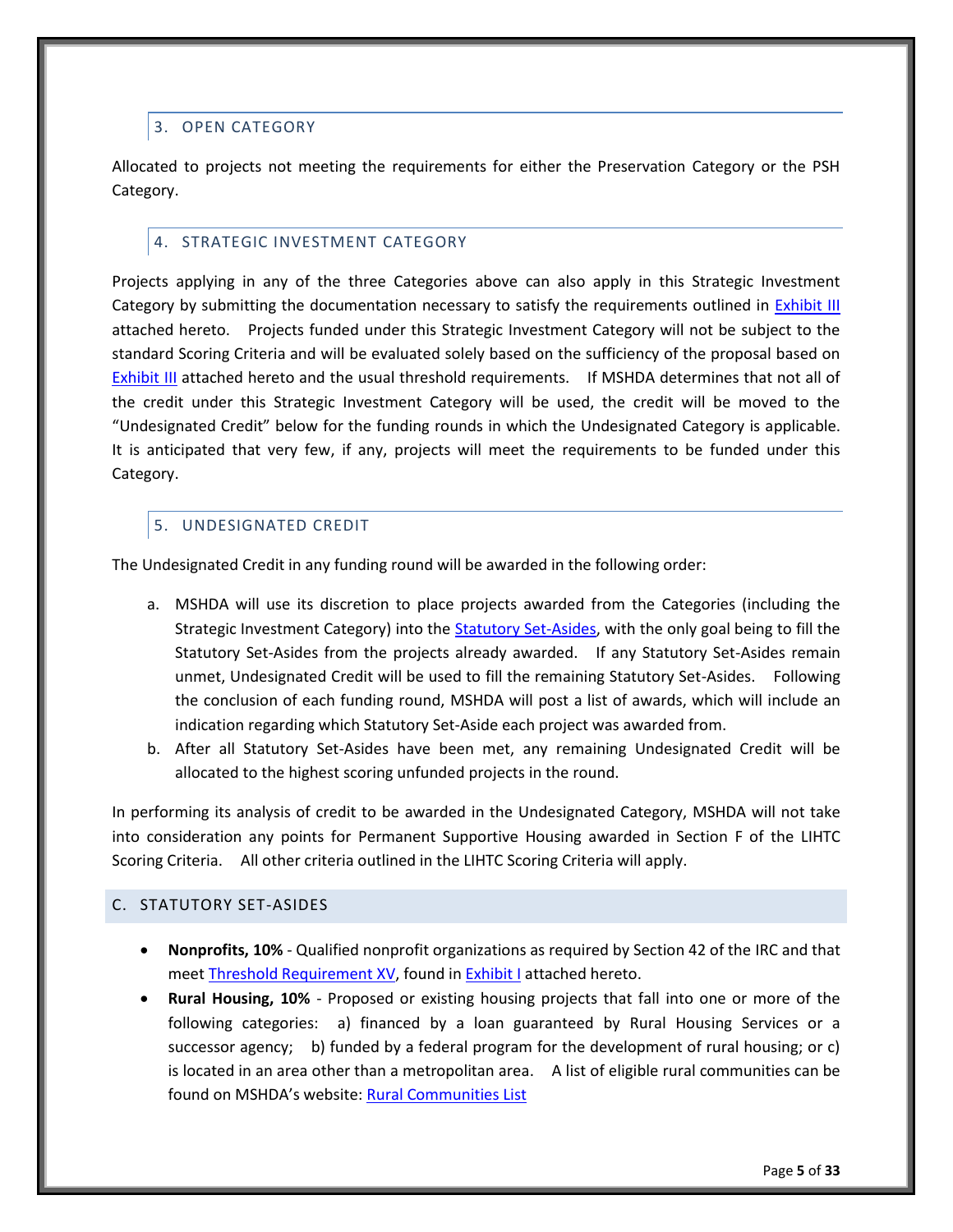# <span id="page-9-0"></span>3. OPEN CATEGORY

Allocated to projects not meeting the requirements for either the Preservation Category or the PSH Category.

# <span id="page-9-1"></span>4. STRATEGIC INVESTMENT CATEGORY

Projects applying in any of the three Categories above can also apply in this Strategic Investment Category by submitting the documentation necessary to satisfy the requirements outlined in [Exhibit III](#page-31-0) attached hereto. Projects funded under this Strategic Investment Category will not be subject to the standard Scoring Criteria and will be evaluated solely based on the sufficiency of the proposal based on [Exhibit III](#page-31-0) attached hereto and the usual threshold requirements. If MSHDA determines that not all of the credit under this Strategic Investment Category will be used, the credit will be moved to the "Undesignated Credit" below for the funding rounds in which the Undesignated Category is applicable. It is anticipated that very few, if any, projects will meet the requirements to be funded under this Category.

# <span id="page-9-2"></span>5. UNDESIGNATED CREDIT

The Undesignated Credit in any funding round will be awarded in the following order:

- a. MSHDA will use its discretion to place projects awarded from the Categories (including the Strategic Investment Category) into the [Statutory Set-Asides,](#page-11-4) with the only goal being to fill the Statutory Set-Asides from the projects already awarded. If any Statutory Set-Asides remain unmet, Undesignated Credit will be used to fill the remaining Statutory Set-Asides. Following the conclusion of each funding round, MSHDA will post a list of awards, which will include an indication regarding which Statutory Set-Aside each project was awarded from.
- b. After all Statutory Set-Asides have been met, any remaining Undesignated Credit will be allocated to the highest scoring unfunded projects in the round.

In performing its analysis of credit to be awarded in the Undesignated Category, MSHDA will not take into consideration any points for Permanent Supportive Housing awarded in Section F of the LIHTC Scoring Criteria. All other criteria outlined in the LIHTC Scoring Criteria will apply.

#### <span id="page-9-3"></span>C. STATUTORY SET-ASIDES

- **Nonprofits, 10%** Qualified nonprofit organizations as required by Section 42 of the IRC and that meet [Threshold Requirement XV,](#page-26-1) found in [Exhibit I](#page-22-0) attached hereto.
- **Rural Housing, 10%** Proposed or existing housing projects that fall into one or more of the following categories: a) financed by a loan guaranteed by Rural Housing Services or a successor agency; b) funded by a federal program for the development of rural housing; or c) is located in an area other than a metropolitan area. A list of eligible rural communities can be found on MSHDA's website: [Rural Communities List](http://www.michigan.gov/documents/mshda/mshda_li_ca_42_tab_gg_rural_small_comm_list_239066_7.pdf)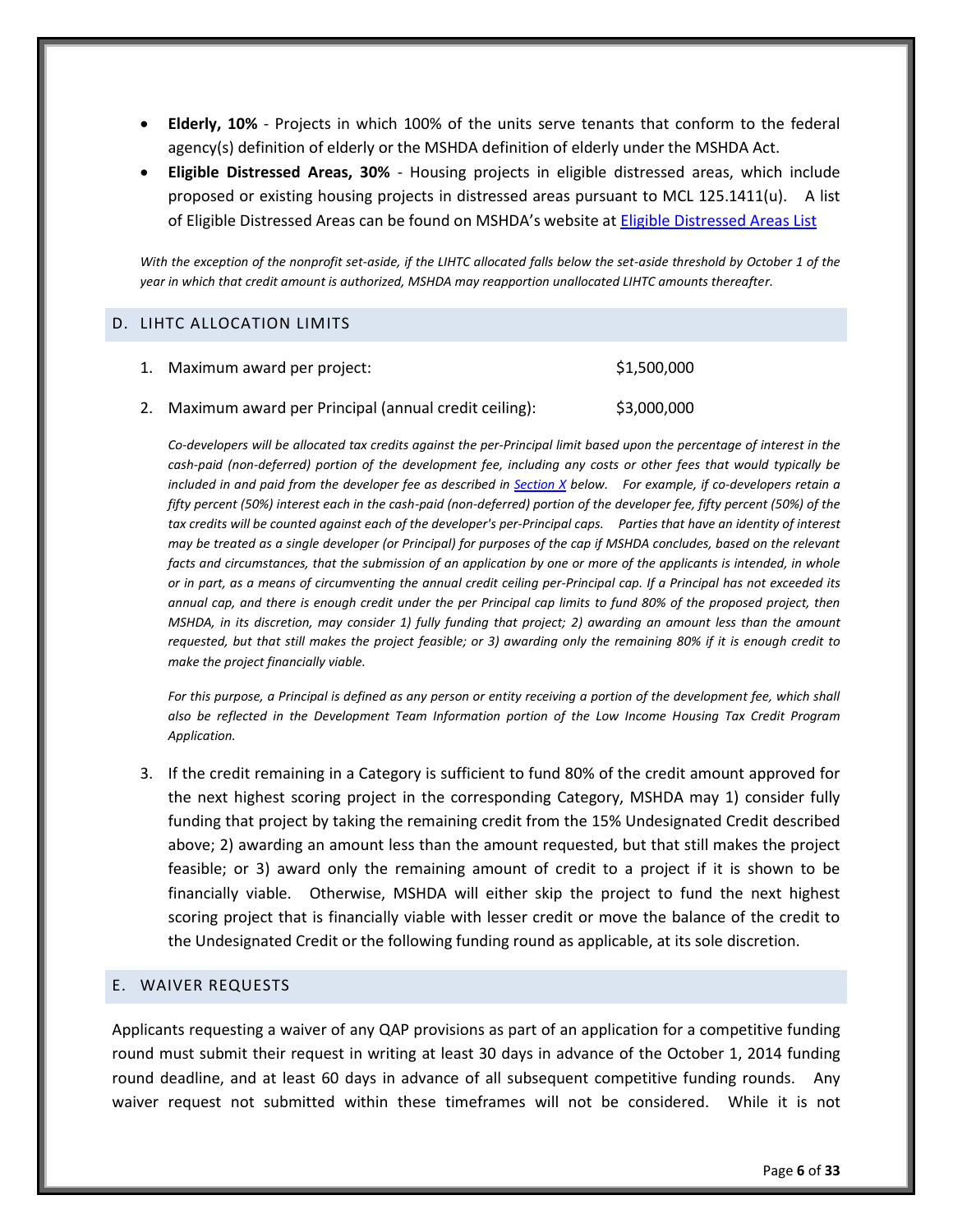- **Elderly, 10%** Projects in which 100% of the units serve tenants that conform to the federal agency(s) definition of elderly or the MSHDA definition of elderly under the MSHDA Act.
- **Eligible Distressed Areas, 30%** Housing projects in eligible distressed areas, which include proposed or existing housing projects in distressed areas pursuant to MCL 125.1411(u). A list of Eligible Distressed Areas can be found on MSHDA's website at [Eligible Distressed Areas List](http://www.michigan.gov/documents/mshda/MSHDA-EDA-list_457982_7.pdf)

*With the exception of the nonprofit set-aside, if the LIHTC allocated falls below the set-aside threshold by October 1 of the year in which that credit amount is authorized, MSHDA may reapportion unallocated LIHTC amounts thereafter.*

#### <span id="page-10-0"></span>D. LIHTC ALLOCATION LIMITS

| 1. | Maximum award per project:                           | \$1,500,000 |
|----|------------------------------------------------------|-------------|
|    | Maximum award per Principal (annual credit ceiling): | \$3,000,000 |

*Co-developers will be allocated tax credits against the per-Principal limit based upon the percentage of interest in the cash-paid (non-deferred) portion of the development fee, including any costs or other fees that would typically be included in and paid from the developer fee as described in [Section X](#page-14-0) below. For example, if co-developers retain a fifty percent (50%) interest each in the cash-paid (non-deferred) portion of the developer fee, fifty percent (50%) of the tax credits will be counted against each of the developer's per-Principal caps. Parties that have an identity of interest may be treated as a single developer (or Principal) for purposes of the cap if MSHDA concludes, based on the relevant facts and circumstances, that the submission of an application by one or more of the applicants is intended, in whole or in part, as a means of circumventing the annual credit ceiling per-Principal cap. If a Principal has not exceeded its*  annual cap, and there is enough credit under the per Principal cap limits to fund 80% of the proposed project, then *MSHDA, in its discretion, may consider 1) fully funding that project; 2) awarding an amount less than the amount requested, but that still makes the project feasible; or 3) awarding only the remaining 80% if it is enough credit to make the project financially viable.* 

*For this purpose, a Principal is defined as any person or entity receiving a portion of the development fee, which shall also be reflected in the Development Team Information portion of the Low Income Housing Tax Credit Program Application.* 

3. If the credit remaining in a Category is sufficient to fund 80% of the credit amount approved for the next highest scoring project in the corresponding Category, MSHDA may 1) consider fully funding that project by taking the remaining credit from the 15% Undesignated Credit described above; 2) awarding an amount less than the amount requested, but that still makes the project feasible; or 3) award only the remaining amount of credit to a project if it is shown to be financially viable. Otherwise, MSHDA will either skip the project to fund the next highest scoring project that is financially viable with lesser credit or move the balance of the credit to the Undesignated Credit or the following funding round as applicable, at its sole discretion.

#### <span id="page-10-1"></span>E. WAIVER REQUESTS

Applicants requesting a waiver of any QAP provisions as part of an application for a competitive funding round must submit their request in writing at least 30 days in advance of the October 1, 2014 funding round deadline, and at least 60 days in advance of all subsequent competitive funding rounds. Any waiver request not submitted within these timeframes will not be considered. While it is not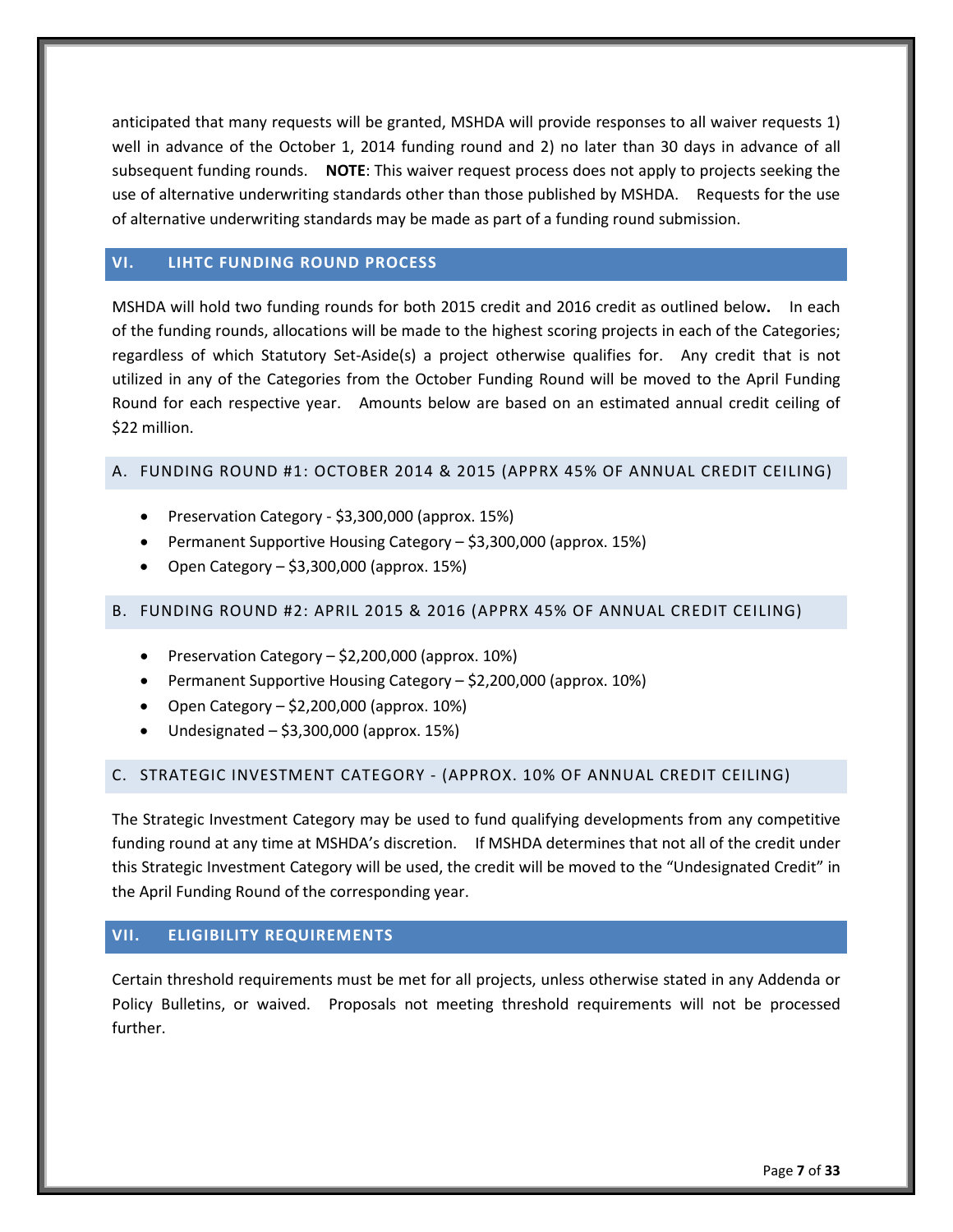anticipated that many requests will be granted, MSHDA will provide responses to all waiver requests 1) well in advance of the October 1, 2014 funding round and 2) no later than 30 days in advance of all subsequent funding rounds. **NOTE**: This waiver request process does not apply to projects seeking the use of alternative underwriting standards other than those published by MSHDA. Requests for the use of alternative underwriting standards may be made as part of a funding round submission.

# <span id="page-11-0"></span>**VI. LIHTC FUNDING ROUND PROCESS**

MSHDA will hold two funding rounds for both 2015 credit and 2016 credit as outlined below**.** In each of the funding rounds, allocations will be made to the highest scoring projects in each of the Categories; regardless of which Statutory Set-Aside(s) a project otherwise qualifies for. Any credit that is not utilized in any of the Categories from the October Funding Round will be moved to the April Funding Round for each respective year. Amounts below are based on an estimated annual credit ceiling of \$22 million.

# <span id="page-11-1"></span>A. FUNDING ROUND #1: OCTOBER 2014 & 2015 (APPRX 45% OF ANNUAL CREDIT CEILING)

- Preservation Category \$3,300,000 (approx. 15%)
- Permanent Supportive Housing Category \$3,300,000 (approx. 15%)
- Open Category \$3,300,000 (approx. 15%)

# <span id="page-11-2"></span>B. FUNDING ROUND #2: APRIL 2015 & 2016 (APPRX 45% OF ANNUAL CREDIT CEILING)

- Preservation Category  $-$  \$2,200,000 (approx. 10%)
- Permanent Supportive Housing Category \$2,200,000 (approx. 10%)
- Open Category  $-$  \$2,200,000 (approx. 10%)
- Undesignated \$3,300,000 (approx. 15%)

# <span id="page-11-3"></span>C. STRATEGIC INVESTMENT CATEGORY - (APPROX. 10% OF ANNUAL CREDIT CEILING)

The Strategic Investment Category may be used to fund qualifying developments from any competitive funding round at any time at MSHDA's discretion. If MSHDA determines that not all of the credit under this Strategic Investment Category will be used, the credit will be moved to the "Undesignated Credit" in the April Funding Round of the corresponding year.

# <span id="page-11-4"></span>**VII. ELIGIBILITY REQUIREMENTS**

Certain threshold requirements must be met for all projects, unless otherwise stated in any Addenda or Policy Bulletins, or waived. Proposals not meeting threshold requirements will not be processed further.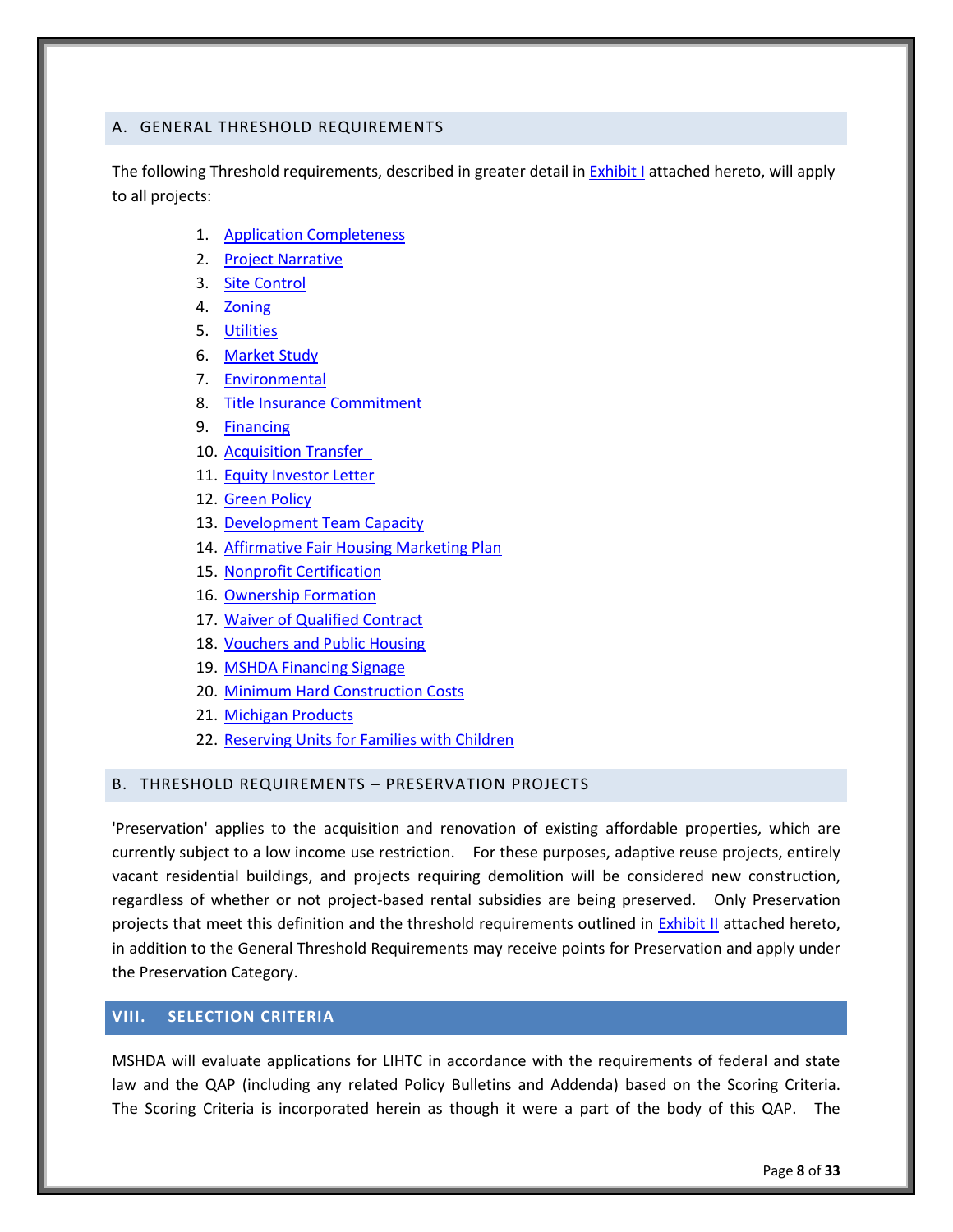#### <span id="page-12-0"></span>A. GENERAL THRESHOLD REQUIREMENTS

The following Threshold requirements, described in greater detail i[n Exhibit I](#page-22-0) attached hereto, will apply to all projects:

- 1. [Application Completeness](#page-22-1)
- 2. [Project Narrative](#page-22-1)
- 3. [Site Control](#page-22-3)
- 4. [Zoning](#page-22-4)
- 5. [Utilities](#page-23-0)
- 6. [Market Study](#page-23-1)
- 7. [Environmental](#page-23-2)
- 8. [Title Insurance Commitment](#page-23-3)
- 9. [Financing](#page-24-0)
- 10. [Acquisition Transfer](#page-24-1)
- 11. [Equity Investor Letter](#page-24-2)
- 12. [Green Policy](#page-25-0)
- 13. [Development Team Capacity](#page-25-1)
- 14. [Affirmative Fair Housing Marketing Plan](#page-26-0)
- 15. [Nonprofit Certification](#page-26-1)
- 16. [Ownership Formation](#page-26-2)
- 17. [Waiver of Qualified Contract](#page-27-0)
- 18. [Vouchers and Public Housing](#page-27-1)
- 19. [MSHDA Financing Signage](#page-27-2)
- 20. [Minimum Hard Construction Costs](#page-27-3)
- 21. [Michigan Products](#page-27-4)
- 22. [Reserving Units for Families with Children](#page-28-0)

#### <span id="page-12-1"></span>B. THRESHOLD REQUIREMENTS – PRESERVATION PROJECTS

'Preservation' applies to the acquisition and renovation of existing affordable properties, which are currently subject to a low income use restriction. For these purposes, adaptive reuse projects, entirely vacant residential buildings, and projects requiring demolition will be considered new construction, regardless of whether or not project-based rental subsidies are being preserved. Only Preservation projects that meet this definition and the threshold requirements outlined in [Exhibit II](#page-29-0) attached hereto, in addition to the General Threshold Requirements may receive points for Preservation and apply under the Preservation Category.

# <span id="page-12-2"></span>**VIII. SELECTION CRITERIA**

MSHDA will evaluate applications for LIHTC in accordance with the requirements of federal and state law and the QAP (including any related Policy Bulletins and Addenda) based on the Scoring Criteria. The Scoring Criteria is incorporated herein as though it were a part of the body of this QAP. The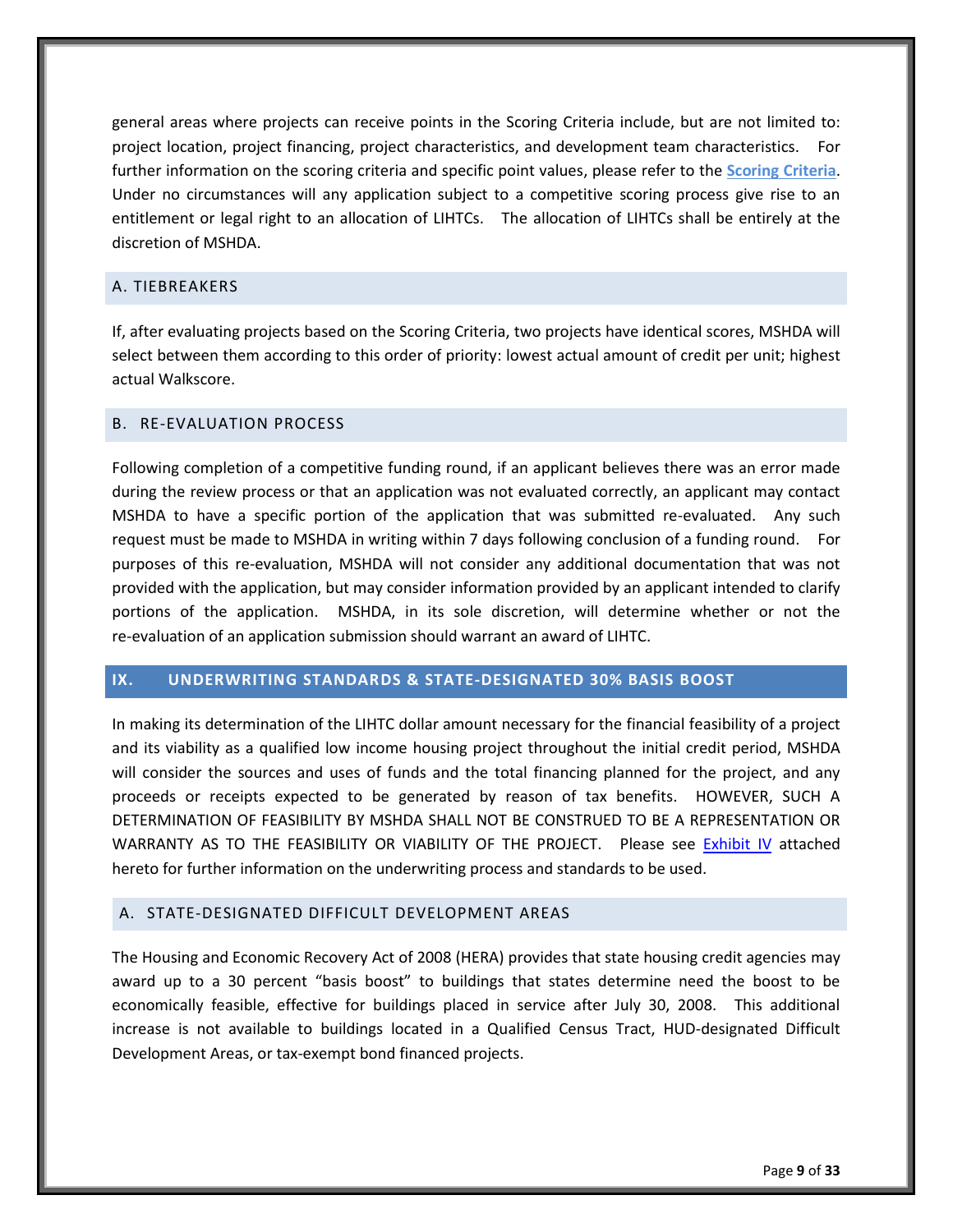general areas where projects can receive points in the Scoring Criteria include, but are not limited to: project location, project financing, project characteristics, and development team characteristics. further information on the scoring criteria and specific point values, please refer to the **Scoring Criteria**. Under no circumstances will any application subject to a competitive scoring process give rise to an entitlement or legal right to an allocation of LIHTCs. The allocation of LIHTCs shall be entirely at the discretion of MSHDA.

# <span id="page-13-0"></span>A. TIEBREAKERS

If, after evaluating projects based on the Scoring Criteria, two projects have identical scores, MSHDA will select between them according to this order of priority: lowest actual amount of credit per unit; highest actual Walkscore.

#### <span id="page-13-1"></span>B. RE-EVALUATION PROCESS

Following completion of a competitive funding round, if an applicant believes there was an error made during the review process or that an application was not evaluated correctly, an applicant may contact MSHDA to have a specific portion of the application that was submitted re-evaluated. Any such request must be made to MSHDA in writing within 7 days following conclusion of a funding round. For purposes of this re-evaluation, MSHDA will not consider any additional documentation that was not provided with the application, but may consider information provided by an applicant intended to clarify portions of the application. MSHDA, in its sole discretion, will determine whether or not the re-evaluation of an application submission should warrant an award of LIHTC.

#### <span id="page-13-2"></span>**IX. UNDERWRITING STANDARDS & STATE-DESIGNATED 30% BASIS BOOST**

In making its determination of the LIHTC dollar amount necessary for the financial feasibility of a project and its viability as a qualified low income housing project throughout the initial credit period, MSHDA will consider the sources and uses of funds and the total financing planned for the project, and any proceeds or receipts expected to be generated by reason of tax benefits. HOWEVER, SUCH A DETERMINATION OF FEASIBILITY BY MSHDA SHALL NOT BE CONSTRUED TO BE A REPRESENTATION OR WARRANTY AS TO THE FEASIBILITY OR VIABILITY OF THE PROJECT. Please see [Exhibit IV](#page-32-0) attached hereto for further information on the underwriting process and standards to be used.

# <span id="page-13-3"></span>A. STATE-DESIGNATED DIFFICULT DEVELOPMENT AREAS

The Housing and Economic Recovery Act of 2008 (HERA) provides that state housing credit agencies may award up to a 30 percent "basis boost" to buildings that states determine need the boost to be economically feasible, effective for buildings placed in service after July 30, 2008. This additional increase is not available to buildings located in a Qualified Census Tract, HUD-designated Difficult Development Areas, or tax-exempt bond financed projects.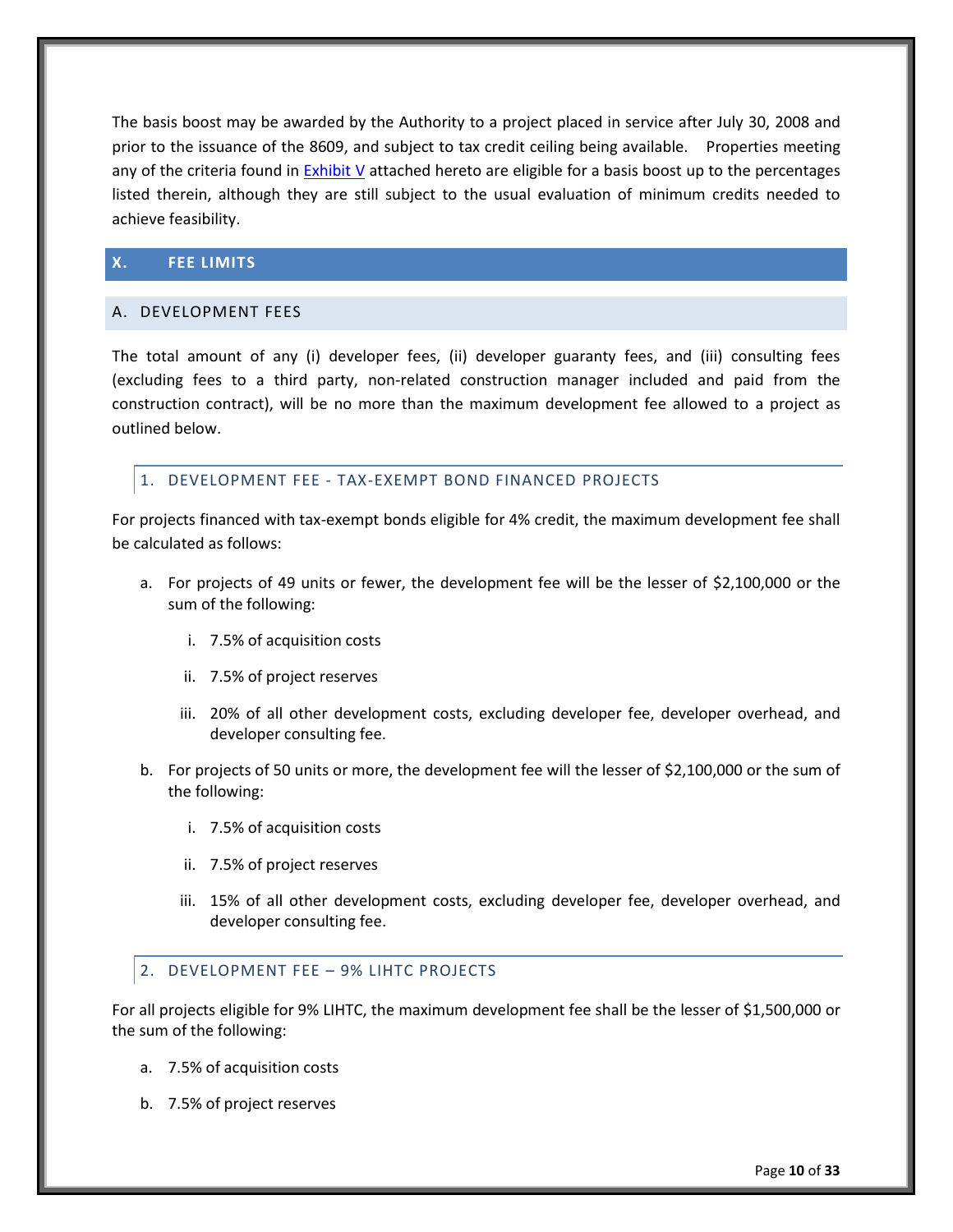The basis boost may be awarded by the Authority to a project placed in service after July 30, 2008 and prior to the issuance of the 8609, and subject to tax credit ceiling being available. Properties meeting any of the criteria found in [Exhibit V](#page-34-0) attached hereto are eligible for a basis boost up to the percentages listed therein, although they are still subject to the usual evaluation of minimum credits needed to achieve feasibility.

# <span id="page-14-0"></span>**X. FEE LIMITS**

#### <span id="page-14-1"></span>A. DEVELOPMENT FEES

The total amount of any (i) developer fees, (ii) developer guaranty fees, and (iii) consulting fees (excluding fees to a third party, non-related construction manager included and paid from the construction contract), will be no more than the maximum development fee allowed to a project as outlined below.

# <span id="page-14-2"></span>1. DEVELOPMENT FEE - TAX-EXEMPT BOND FINANCED PROJECTS

For projects financed with tax-exempt bonds eligible for 4% credit, the maximum development fee shall be calculated as follows:

- a. For projects of 49 units or fewer, the development fee will be the lesser of \$2,100,000 or the sum of the following:
	- i. 7.5% of acquisition costs
	- ii. 7.5% of project reserves
	- iii. 20% of all other development costs, excluding developer fee, developer overhead, and developer consulting fee.
- b. For projects of 50 units or more, the development fee will the lesser of \$2,100,000 or the sum of the following:
	- i. 7.5% of acquisition costs
	- ii. 7.5% of project reserves
	- iii. 15% of all other development costs, excluding developer fee, developer overhead, and developer consulting fee.

# <span id="page-14-3"></span>2. DEVELOPMENT FEE – 9% LIHTC PROJECTS

For all projects eligible for 9% LIHTC, the maximum development fee shall be the lesser of \$1,500,000 or the sum of the following:

- a. 7.5% of acquisition costs
- b. 7.5% of project reserves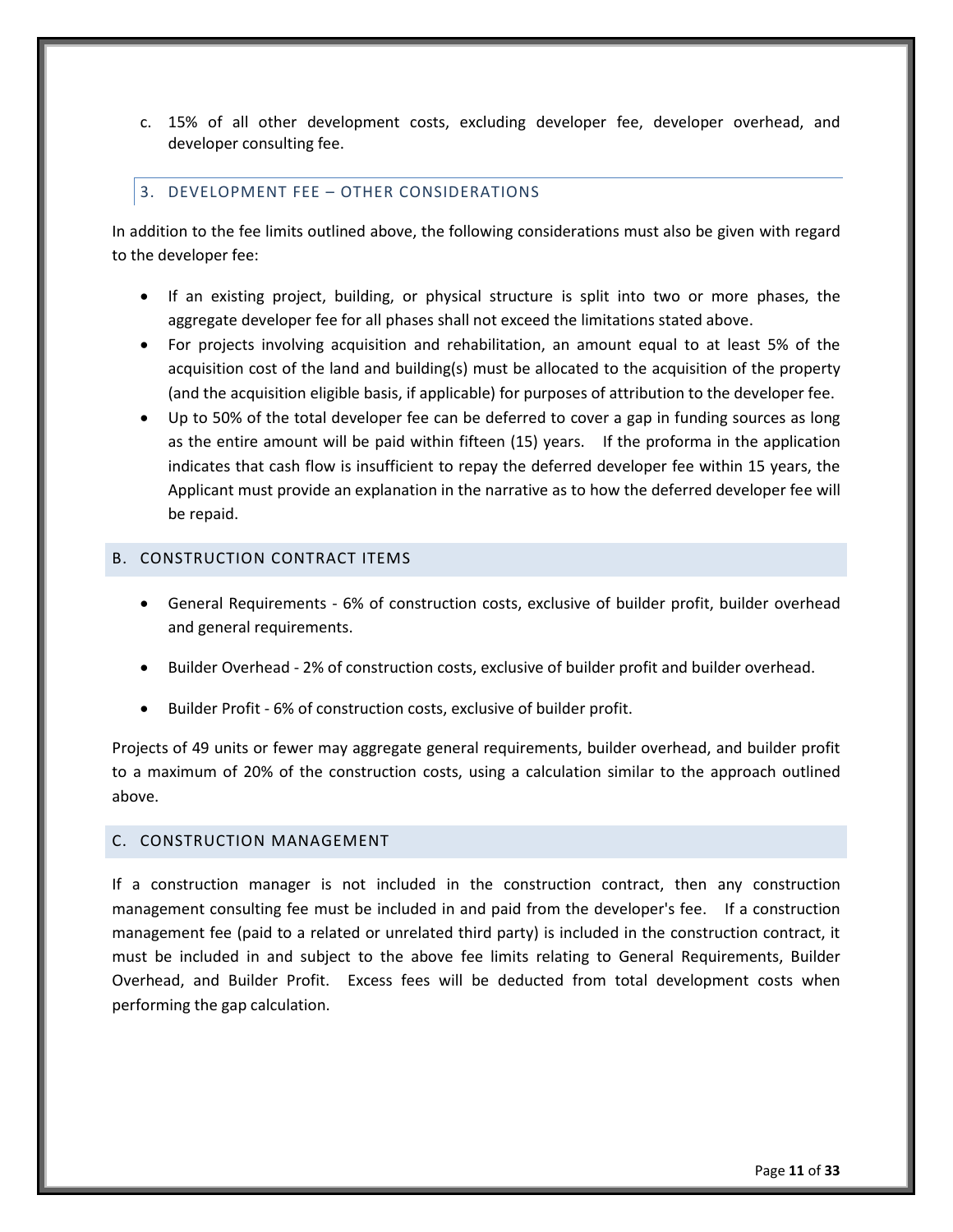c. 15% of all other development costs, excluding developer fee, developer overhead, and developer consulting fee.

#### <span id="page-15-0"></span>3. DEVELOPMENT FEE – OTHER CONSIDERATIONS

In addition to the fee limits outlined above, the following considerations must also be given with regard to the developer fee:

- If an existing project, building, or physical structure is split into two or more phases, the aggregate developer fee for all phases shall not exceed the limitations stated above.
- For projects involving acquisition and rehabilitation, an amount equal to at least 5% of the acquisition cost of the land and building(s) must be allocated to the acquisition of the property (and the acquisition eligible basis, if applicable) for purposes of attribution to the developer fee.
- Up to 50% of the total developer fee can be deferred to cover a gap in funding sources as long as the entire amount will be paid within fifteen (15) years. If the proforma in the application indicates that cash flow is insufficient to repay the deferred developer fee within 15 years, the Applicant must provide an explanation in the narrative as to how the deferred developer fee will be repaid.

# <span id="page-15-1"></span>B. CONSTRUCTION CONTRACT ITEMS

- General Requirements 6% of construction costs, exclusive of builder profit, builder overhead and general requirements.
- Builder Overhead 2% of construction costs, exclusive of builder profit and builder overhead.
- Builder Profit 6% of construction costs, exclusive of builder profit.

Projects of 49 units or fewer may aggregate general requirements, builder overhead, and builder profit to a maximum of 20% of the construction costs, using a calculation similar to the approach outlined above.

#### <span id="page-15-2"></span>C. CONSTRUCTION MANAGEMENT

If a construction manager is not included in the construction contract, then any construction management consulting fee must be included in and paid from the developer's fee. If a construction management fee (paid to a related or unrelated third party) is included in the construction contract, it must be included in and subject to the above fee limits relating to General Requirements, Builder Overhead, and Builder Profit. Excess fees will be deducted from total development costs when performing the gap calculation.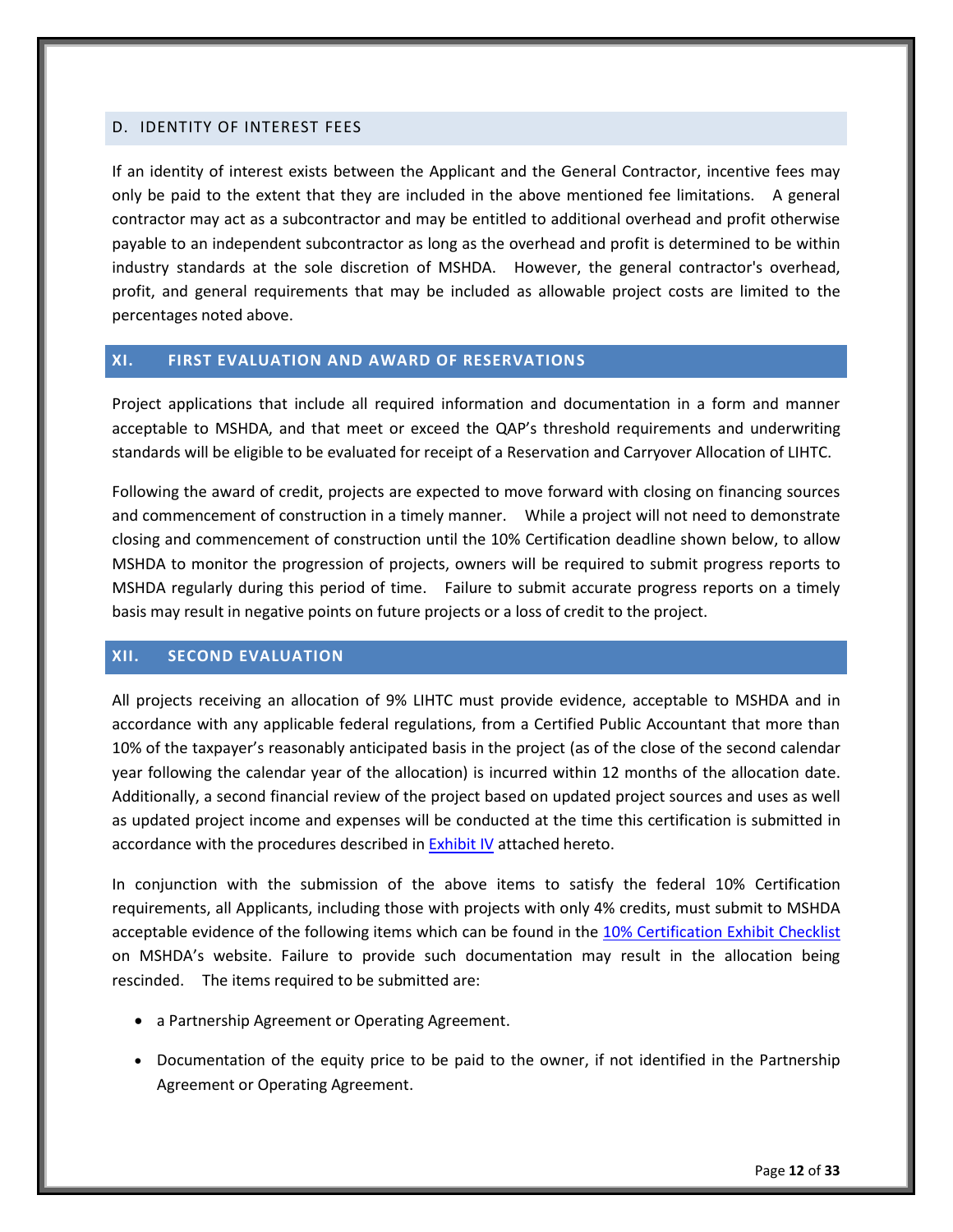#### <span id="page-16-0"></span>D. IDENTITY OF INTEREST FEES

If an identity of interest exists between the Applicant and the General Contractor, incentive fees may only be paid to the extent that they are included in the above mentioned fee limitations. A general contractor may act as a subcontractor and may be entitled to additional overhead and profit otherwise payable to an independent subcontractor as long as the overhead and profit is determined to be within industry standards at the sole discretion of MSHDA. However, the general contractor's overhead, profit, and general requirements that may be included as allowable project costs are limited to the percentages noted above.

# <span id="page-16-1"></span>**XI. FIRST EVALUATION AND AWARD OF RESERVATIONS**

Project applications that include all required information and documentation in a form and manner acceptable to MSHDA, and that meet or exceed the QAP's threshold requirements and underwriting standards will be eligible to be evaluated for receipt of a Reservation and Carryover Allocation of LIHTC.

Following the award of credit, projects are expected to move forward with closing on financing sources and commencement of construction in a timely manner. While a project will not need to demonstrate closing and commencement of construction until the 10% Certification deadline shown below, to allow MSHDA to monitor the progression of projects, owners will be required to submit progress reports to MSHDA regularly during this period of time. Failure to submit accurate progress reports on a timely basis may result in negative points on future projects or a loss of credit to the project.

# <span id="page-16-2"></span>**XII. SECOND EVALUATION**

All projects receiving an allocation of 9% LIHTC must provide evidence, acceptable to MSHDA and in accordance with any applicable federal regulations, from a Certified Public Accountant that more than 10% of the taxpayer's reasonably anticipated basis in the project (as of the close of the second calendar year following the calendar year of the allocation) is incurred within 12 months of the allocation date. Additionally, a second financial review of the project based on updated project sources and uses as well as updated project income and expenses will be conducted at the time this certification is submitted in accordance with the procedures described i[n Exhibit IV](#page-32-0) attached hereto.

In conjunction with the submission of the above items to satisfy the federal 10% Certification requirements, all Applicants, including those with projects with only 4% credits, must submit to MSHDA acceptable evidence of the following items which can be found in the [10% Certification](http://www.michigan.gov/mshda/0,4641,7-141-5587_5601-134725--,00.html) Exhibit Checklist on MSHDA's website. Failure to provide such documentation may result in the allocation being rescinded. The items required to be submitted are:

- a Partnership Agreement or Operating Agreement.
- Documentation of the equity price to be paid to the owner, if not identified in the Partnership Agreement or Operating Agreement.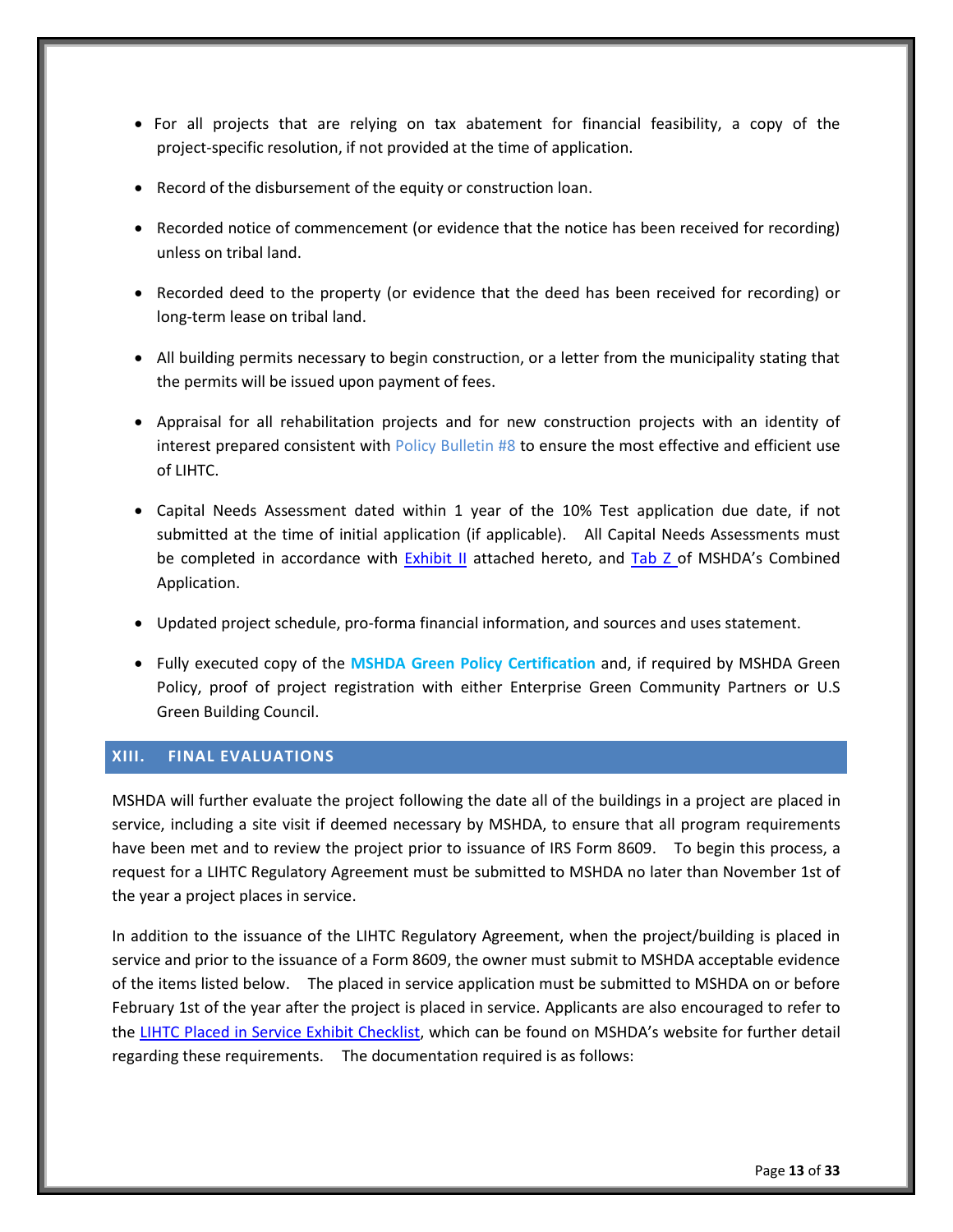- For all projects that are relying on tax abatement for financial feasibility, a copy of the project-specific resolution, if not provided at the time of application.
- Record of the disbursement of the equity or construction loan.
- Recorded notice of commencement (or evidence that the notice has been received for recording) unless on tribal land.
- Recorded deed to the property (or evidence that the deed has been received for recording) or long-term lease on tribal land.
- All building permits necessary to begin construction, or a letter from the municipality stating that the permits will be issued upon payment of fees.
- Appraisal for all rehabilitation projects and for new construction projects with an identity of interest prepared consistent with Policy Bulletin #8 to ensure the most effective and efficient use of LIHTC.
- Capital Needs Assessment dated within 1 year of the 10% Test application due date, if not submitted at the time of initial application (if applicable). All Capital Needs Assessments must be completed in accordance with [Exhibit II](#page-29-0) attached hereto, and [Tab Z](http://www.michigan.gov/documents/mshda/mshda_li_ca_35_tab_z_capital_needs_assess_183891_7.pdf) of MSHDA's Combined Application.
- Updated project schedule, pro-forma financial information, and sources and uses statement.
- Fully executed copy of the **MSHDA Green Policy Certification** and, if required by MSHDA Green Policy, proof of project registration with either Enterprise Green Community Partners or U.S Green Building Council.

#### <span id="page-17-0"></span>**XIII. FINAL EVALUATIONS**

MSHDA will further evaluate the project following the date all of the buildings in a project are placed in service, including a site visit if deemed necessary by MSHDA, to ensure that all program requirements have been met and to review the project prior to issuance of IRS Form 8609. To begin this process, a request for a LIHTC Regulatory Agreement must be submitted to MSHDA no later than November 1st of the year a project places in service.

In addition to the issuance of the LIHTC Regulatory Agreement, when the project/building is placed in service and prior to the issuance of a Form 8609, the owner must submit to MSHDA acceptable evidence of the items listed below. The placed in service application must be submitted to MSHDA on or before February 1st of the year after the project is placed in service. Applicants are also encouraged to refer to the [LIHTC Placed in Service Exhibit Checklist](http://www.michigan.gov/mshda/0,4641,7-141-5587_5601-134727--,00.html), which can be found on MSHDA's website for further detail regarding these requirements. The documentation required is as follows: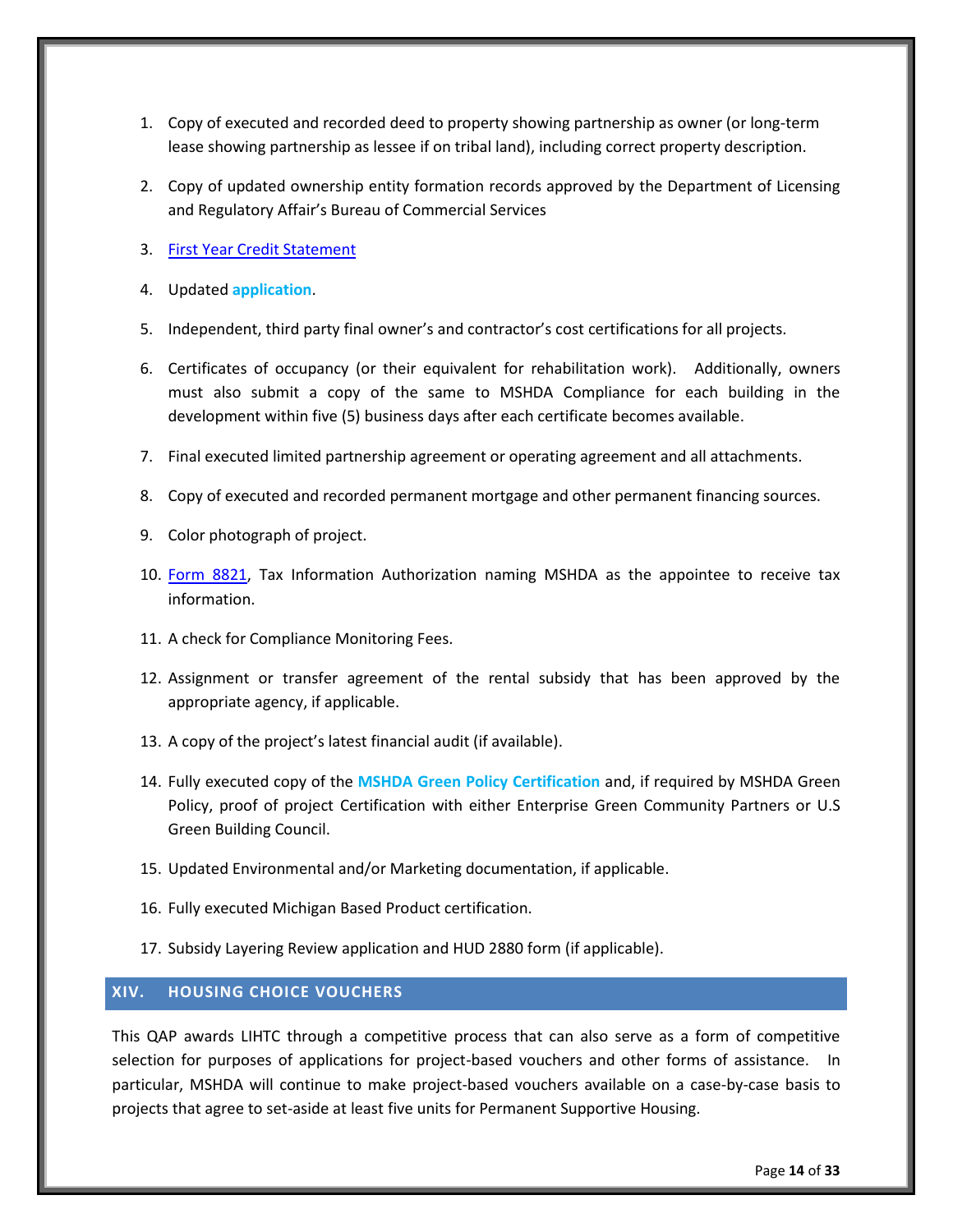- 1. Copy of executed and recorded deed to property showing partnership as owner (or long-term lease showing partnership as lessee if on tribal land), including correct property description.
- 2. Copy of updated ownership entity formation records approved by the Department of Licensing and Regulatory Affair's Bureau of Commercial Services
- 3. [First Year Credit Statement](http://www.michigan.gov/mshda/0,4641,7-141-5587_5601-134727--,00.html)
- 4. Updated **application**.
- 5. Independent, third party final owner's and contractor's cost certifications for all projects.
- 6. Certificates of occupancy (or their equivalent for rehabilitation work). Additionally, owners must also submit a copy of the same to MSHDA Compliance for each building in the development within five (5) business days after each certificate becomes available.
- 7. Final executed limited partnership agreement or operating agreement and all attachments.
- 8. Copy of executed and recorded permanent mortgage and other permanent financing sources.
- 9. Color photograph of project.
- 10. [Form 8821,](http://www.michigan.gov/documents/mshda/mshda_li_af_q_irs_form_8821_204518_7.pdf) Tax Information Authorization naming MSHDA as the appointee to receive tax information.
- 11. A check for Compliance Monitoring Fees.
- 12. Assignment or transfer agreement of the rental subsidy that has been approved by the appropriate agency, if applicable.
- 13. A copy of the project's latest financial audit (if available).
- 14. Fully executed copy of the **MSHDA Green Policy Certification** and, if required by MSHDA Green Policy, proof of project Certification with either Enterprise Green Community Partners or U.S Green Building Council.
- 15. Updated Environmental and/or Marketing documentation, if applicable.
- 16. Fully executed Michigan Based Product certification.
- 17. Subsidy Layering Review application and HUD 2880 form (if applicable).

# <span id="page-18-0"></span>**XIV. HOUSING CHOICE VOUCHERS**

This QAP awards LIHTC through a competitive process that can also serve as a form of competitive selection for purposes of applications for project-based vouchers and other forms of assistance. In particular, MSHDA will continue to make project-based vouchers available on a case-by-case basis to projects that agree to set-aside at least five units for Permanent Supportive Housing.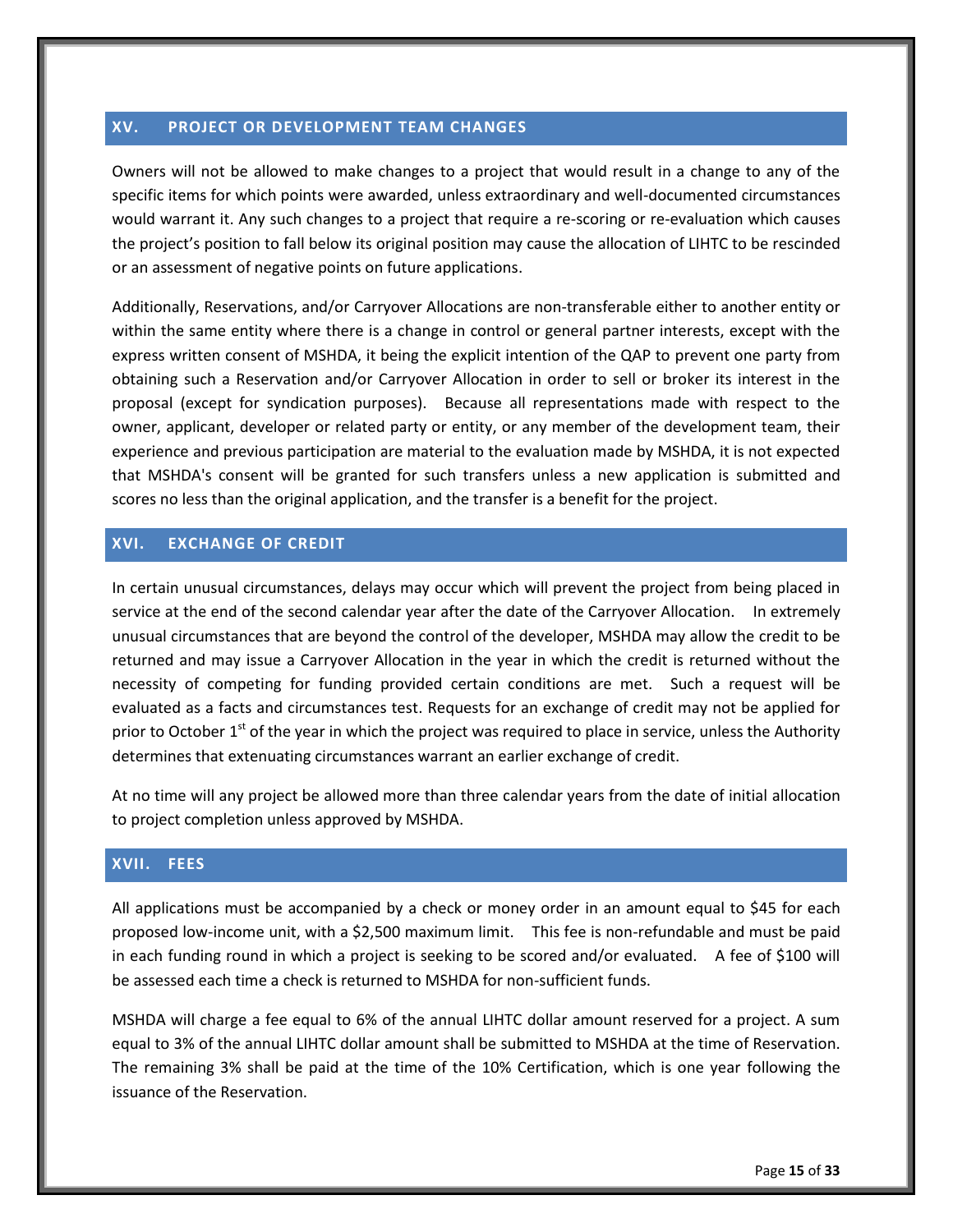#### <span id="page-19-0"></span>**XV. PROJECT OR DEVELOPMENT TEAM CHANGES**

Owners will not be allowed to make changes to a project that would result in a change to any of the specific items for which points were awarded, unless extraordinary and well-documented circumstances would warrant it. Any such changes to a project that require a re-scoring or re-evaluation which causes the project's position to fall below its original position may cause the allocation of LIHTC to be rescinded or an assessment of negative points on future applications.

Additionally, Reservations, and/or Carryover Allocations are non-transferable either to another entity or within the same entity where there is a change in control or general partner interests, except with the express written consent of MSHDA, it being the explicit intention of the QAP to prevent one party from obtaining such a Reservation and/or Carryover Allocation in order to sell or broker its interest in the proposal (except for syndication purposes). Because all representations made with respect to the owner, applicant, developer or related party or entity, or any member of the development team, their experience and previous participation are material to the evaluation made by MSHDA, it is not expected that MSHDA's consent will be granted for such transfers unless a new application is submitted and scores no less than the original application, and the transfer is a benefit for the project.

# <span id="page-19-1"></span>**XVI. EXCHANGE OF CREDIT**

In certain unusual circumstances, delays may occur which will prevent the project from being placed in service at the end of the second calendar year after the date of the Carryover Allocation. In extremely unusual circumstances that are beyond the control of the developer, MSHDA may allow the credit to be returned and may issue a Carryover Allocation in the year in which the credit is returned without the necessity of competing for funding provided certain conditions are met. Such a request will be evaluated as a facts and circumstances test. Requests for an exchange of credit may not be applied for prior to October  $1<sup>st</sup>$  of the year in which the project was required to place in service, unless the Authority determines that extenuating circumstances warrant an earlier exchange of credit.

At no time will any project be allowed more than three calendar years from the date of initial allocation to project completion unless approved by MSHDA.

#### <span id="page-19-2"></span>**XVII. FEES**

All applications must be accompanied by a check or money order in an amount equal to \$45 for each proposed low-income unit, with a \$2,500 maximum limit. This fee is non-refundable and must be paid in each funding round in which a project is seeking to be scored and/or evaluated. A fee of \$100 will be assessed each time a check is returned to MSHDA for non-sufficient funds.

MSHDA will charge a fee equal to 6% of the annual LIHTC dollar amount reserved for a project. A sum equal to 3% of the annual LIHTC dollar amount shall be submitted to MSHDA at the time of Reservation. The remaining 3% shall be paid at the time of the 10% Certification, which is one year following the issuance of the Reservation.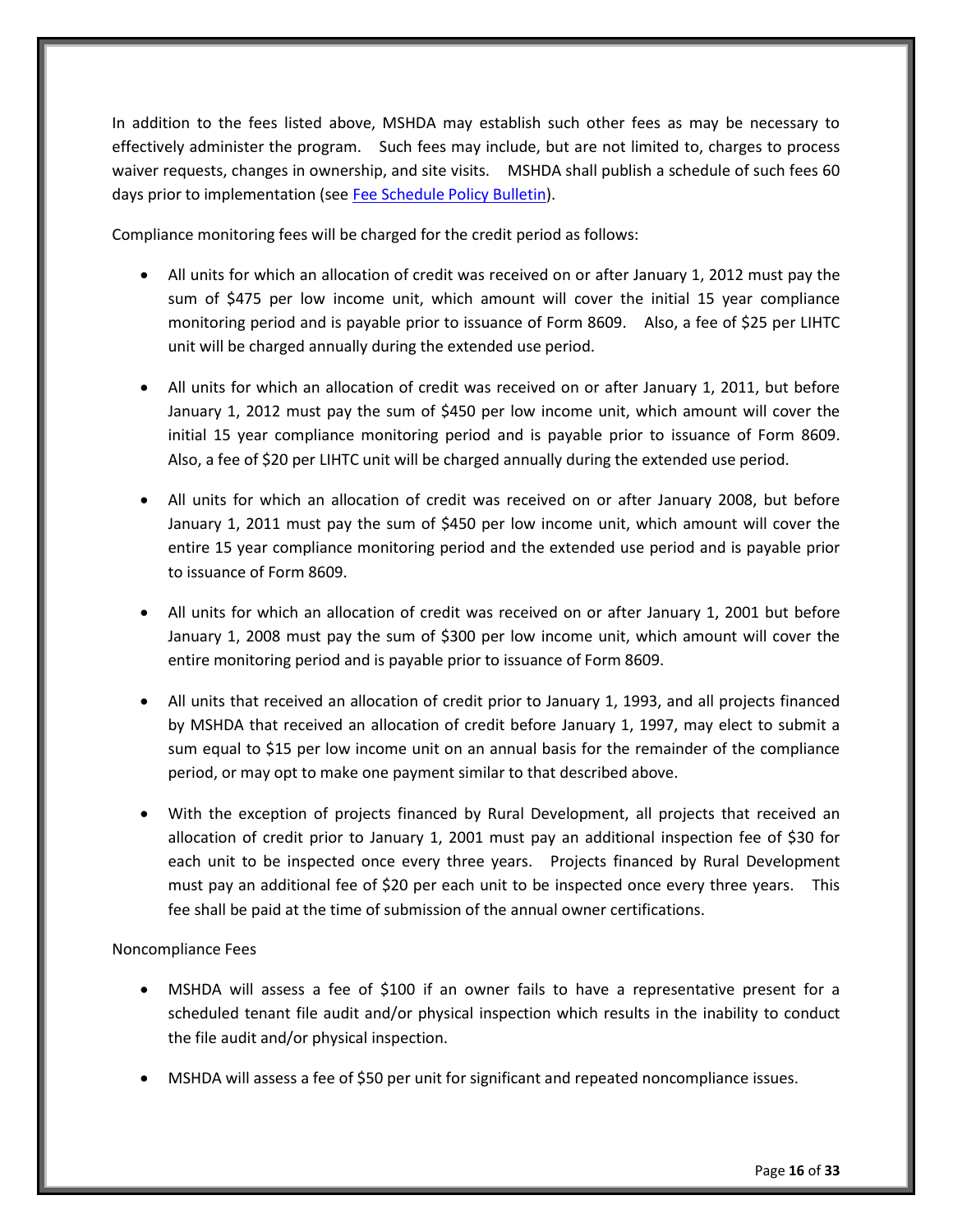In addition to the fees listed above, MSHDA may establish such other fees as may be necessary to effectively administer the program. Such fees may include, but are not limited to, charges to process waiver requests, changes in ownership, and site visits. MSHDA shall publish a schedule of such fees 60 days prior to implementation (se[e Fee Schedule Policy Bulletin\)](http://www.michigan.gov/documents/mshda/mshda_li_ca_32_tab_w_lihtc_policy_bulletins_183888_7.pdf).

Compliance monitoring fees will be charged for the credit period as follows:

- All units for which an allocation of credit was received on or after January 1, 2012 must pay the sum of \$475 per low income unit, which amount will cover the initial 15 year compliance monitoring period and is payable prior to issuance of Form 8609. Also, a fee of \$25 per LIHTC unit will be charged annually during the extended use period.
- All units for which an allocation of credit was received on or after January 1, 2011, but before January 1, 2012 must pay the sum of \$450 per low income unit, which amount will cover the initial 15 year compliance monitoring period and is payable prior to issuance of Form 8609. Also, a fee of \$20 per LIHTC unit will be charged annually during the extended use period.
- All units for which an allocation of credit was received on or after January 2008, but before January 1, 2011 must pay the sum of \$450 per low income unit, which amount will cover the entire 15 year compliance monitoring period and the extended use period and is payable prior to issuance of Form 8609.
- All units for which an allocation of credit was received on or after January 1, 2001 but before January 1, 2008 must pay the sum of \$300 per low income unit, which amount will cover the entire monitoring period and is payable prior to issuance of Form 8609.
- All units that received an allocation of credit prior to January 1, 1993, and all projects financed by MSHDA that received an allocation of credit before January 1, 1997, may elect to submit a sum equal to \$15 per low income unit on an annual basis for the remainder of the compliance period, or may opt to make one payment similar to that described above.
- With the exception of projects financed by Rural Development, all projects that received an allocation of credit prior to January 1, 2001 must pay an additional inspection fee of \$30 for each unit to be inspected once every three years. Projects financed by Rural Development must pay an additional fee of \$20 per each unit to be inspected once every three years. This fee shall be paid at the time of submission of the annual owner certifications.

# Noncompliance Fees

- MSHDA will assess a fee of \$100 if an owner fails to have a representative present for a scheduled tenant file audit and/or physical inspection which results in the inability to conduct the file audit and/or physical inspection.
- MSHDA will assess a fee of \$50 per unit for significant and repeated noncompliance issues.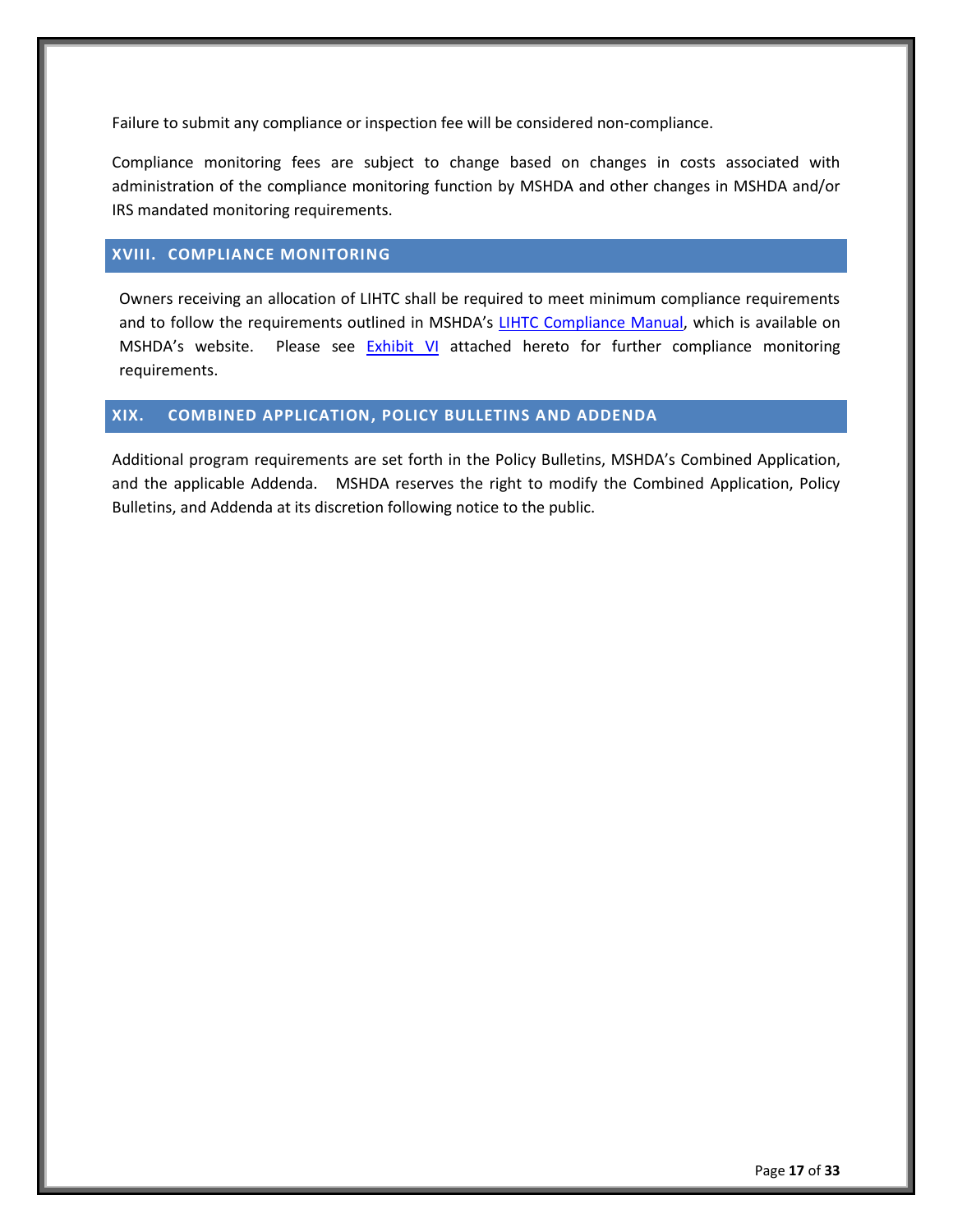Failure to submit any compliance or inspection fee will be considered non-compliance.

Compliance monitoring fees are subject to change based on changes in costs associated with administration of the compliance monitoring function by MSHDA and other changes in MSHDA and/or IRS mandated monitoring requirements.

#### <span id="page-21-0"></span>**XVIII. COMPLIANCE MONITORING**

Owners receiving an allocation of LIHTC shall be required to meet minimum compliance requirements and to follow the requirements outlined in MSHDA's [LIHTC Compliance Manual,](http://www.michigan.gov/mshda/0,4641,7-141-8002_26576_26578---,00.html) which is available on MSHDA's website. Please see [Exhibit VI](#page-35-0) attached hereto for further compliance monitoring requirements.

# <span id="page-21-1"></span>**XIX. COMBINED APPLICATION, POLICY BULLETINS AND ADDENDA**

Additional program requirements are set forth in the Policy Bulletins, MSHDA's Combined Application, and the applicable Addenda. MSHDA reserves the right to modify the Combined Application, Policy Bulletins, and Addenda at its discretion following notice to the public.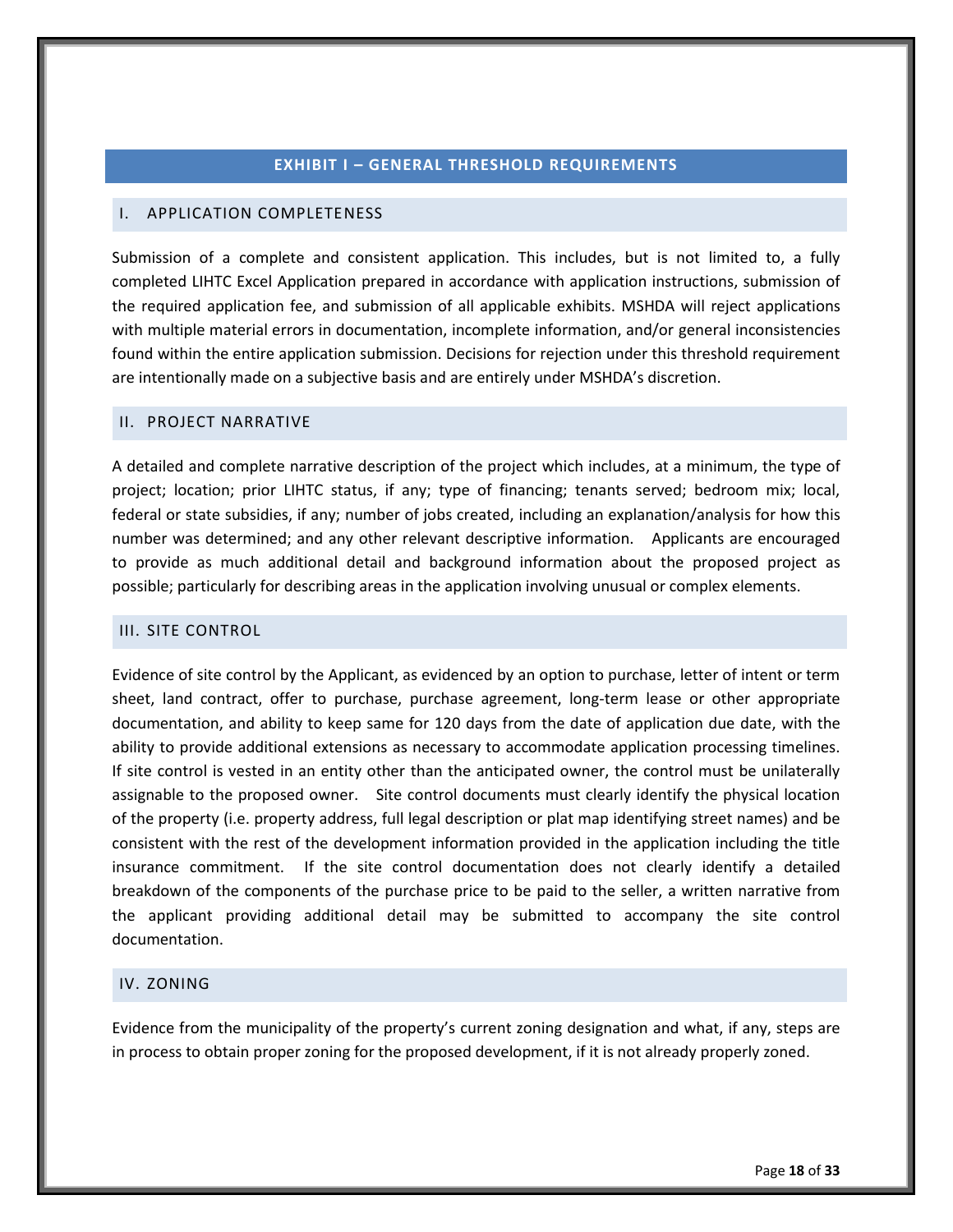#### **EXHIBIT I – GENERAL THRESHOLD REQUIREMENTS**

# <span id="page-22-1"></span><span id="page-22-0"></span>I. APPLICATION COMPLETENESS

Submission of a complete and consistent application. This includes, but is not limited to, a fully completed LIHTC Excel Application prepared in accordance with application instructions, submission of the required application fee, and submission of all applicable exhibits. MSHDA will reject applications with multiple material errors in documentation, incomplete information, and/or general inconsistencies found within the entire application submission. Decisions for rejection under this threshold requirement are intentionally made on a subjective basis and are entirely under MSHDA's discretion.

#### <span id="page-22-2"></span>II. PROJECT NARRATIVE

A detailed and complete narrative description of the project which includes, at a minimum, the type of project; location; prior LIHTC status, if any; type of financing; tenants served; bedroom mix; local, federal or state subsidies, if any; number of jobs created, including an explanation/analysis for how this number was determined; and any other relevant descriptive information. Applicants are encouraged to provide as much additional detail and background information about the proposed project as possible; particularly for describing areas in the application involving unusual or complex elements.

#### <span id="page-22-3"></span>III. SITE CONTROL

Evidence of site control by the Applicant, as evidenced by an option to purchase, letter of intent or term sheet, land contract, offer to purchase, purchase agreement, long-term lease or other appropriate documentation, and ability to keep same for 120 days from the date of application due date, with the ability to provide additional extensions as necessary to accommodate application processing timelines. If site control is vested in an entity other than the anticipated owner, the control must be unilaterally assignable to the proposed owner. Site control documents must clearly identify the physical location of the property (i.e. property address, full legal description or plat map identifying street names) and be consistent with the rest of the development information provided in the application including the title insurance commitment. If the site control documentation does not clearly identify a detailed breakdown of the components of the purchase price to be paid to the seller, a written narrative from the applicant providing additional detail may be submitted to accompany the site control documentation.

# <span id="page-22-4"></span>IV. ZONING

Evidence from the municipality of the property's current zoning designation and what, if any, steps are in process to obtain proper zoning for the proposed development, if it is not already properly zoned.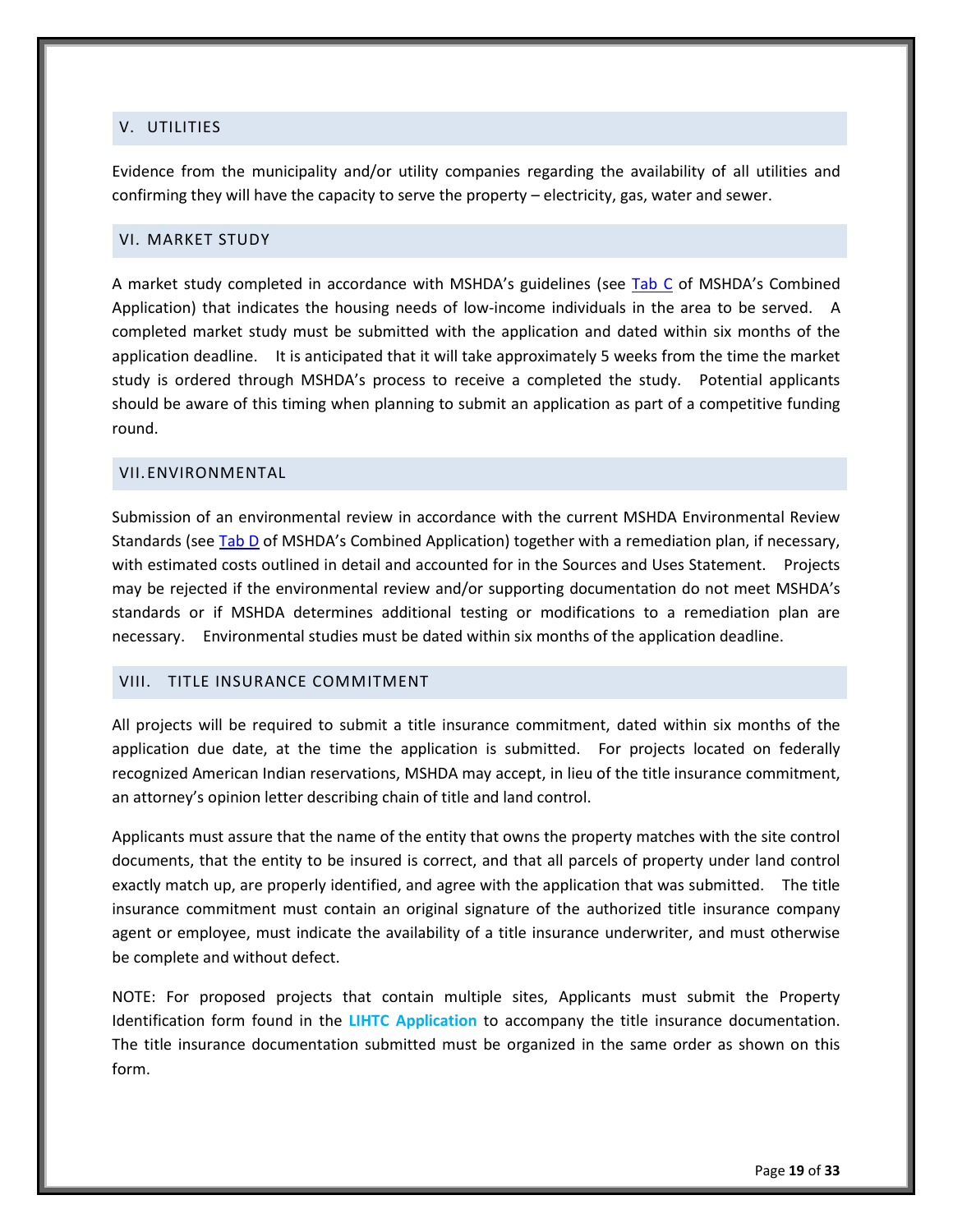### <span id="page-23-0"></span>V. UTILITIES

Evidence from the municipality and/or utility companies regarding the availability of all utilities and confirming they will have the capacity to serve the property – electricity, gas, water and sewer.

# <span id="page-23-1"></span>VI. MARKET STUDY

A market study completed in accordance with MSHDA's guidelines (see [Tab C](http://www.michigan.gov/mshda/0,4641,7-141-5587_5601-60010--,00.html) of MSHDA's Combined Application) that indicates the housing needs of low-income individuals in the area to be served. A completed market study must be submitted with the application and dated within six months of the application deadline. It is anticipated that it will take approximately 5 weeks from the time the market study is ordered through MSHDA's process to receive a completed the study. Potential applicants should be aware of this timing when planning to submit an application as part of a competitive funding round.

# <span id="page-23-2"></span>VII.ENVIRONMENTAL

Submission of an environmental review in accordance with the current MSHDA Environmental Review Standards (se[e Tab D](http://www.michigan.gov/mshda/0,4641,7-141-5587_5601-60010--,00.html) of MSHDA's Combined Application) together with a remediation plan, if necessary, with estimated costs outlined in detail and accounted for in the Sources and Uses Statement. Projects may be rejected if the environmental review and/or supporting documentation do not meet MSHDA's standards or if MSHDA determines additional testing or modifications to a remediation plan are necessary. Environmental studies must be dated within six months of the application deadline.

#### <span id="page-23-3"></span>VIII. TITLE INSURANCE COMMITMENT

All projects will be required to submit a title insurance commitment, dated within six months of the application due date, at the time the application is submitted. For projects located on federally recognized American Indian reservations, MSHDA may accept, in lieu of the title insurance commitment, an attorney's opinion letter describing chain of title and land control.

Applicants must assure that the name of the entity that owns the property matches with the site control documents, that the entity to be insured is correct, and that all parcels of property under land control exactly match up, are properly identified, and agree with the application that was submitted. The title insurance commitment must contain an original signature of the authorized title insurance company agent or employee, must indicate the availability of a title insurance underwriter, and must otherwise be complete and without defect.

NOTE: For proposed projects that contain multiple sites, Applicants must submit the Property Identification form found in the **LIHTC Application** to accompany the title insurance documentation. The title insurance documentation submitted must be organized in the same order as shown on this form.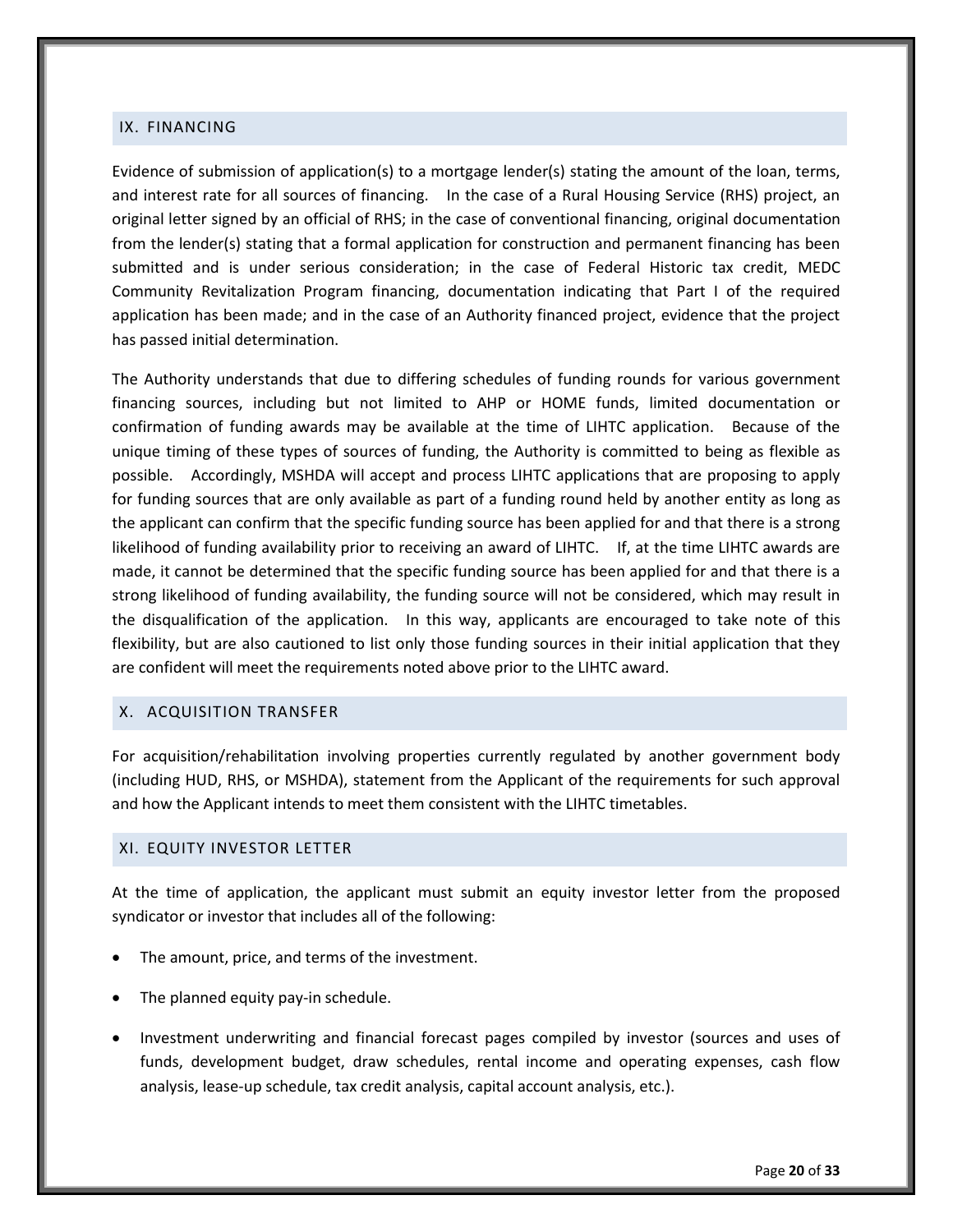#### <span id="page-24-0"></span>IX. FINANCING

Evidence of submission of application(s) to a mortgage lender(s) stating the amount of the loan, terms, and interest rate for all sources of financing. In the case of a Rural Housing Service (RHS) project, an original letter signed by an official of RHS; in the case of conventional financing, original documentation from the lender(s) stating that a formal application for construction and permanent financing has been submitted and is under serious consideration; in the case of Federal Historic tax credit, MEDC Community Revitalization Program financing, documentation indicating that Part I of the required application has been made; and in the case of an Authority financed project, evidence that the project has passed initial determination.

The Authority understands that due to differing schedules of funding rounds for various government financing sources, including but not limited to AHP or HOME funds, limited documentation or confirmation of funding awards may be available at the time of LIHTC application. Because of the unique timing of these types of sources of funding, the Authority is committed to being as flexible as possible. Accordingly, MSHDA will accept and process LIHTC applications that are proposing to apply for funding sources that are only available as part of a funding round held by another entity as long as the applicant can confirm that the specific funding source has been applied for and that there is a strong likelihood of funding availability prior to receiving an award of LIHTC. If, at the time LIHTC awards are made, it cannot be determined that the specific funding source has been applied for and that there is a strong likelihood of funding availability, the funding source will not be considered, which may result in the disqualification of the application. In this way, applicants are encouraged to take note of this flexibility, but are also cautioned to list only those funding sources in their initial application that they are confident will meet the requirements noted above prior to the LIHTC award.

#### <span id="page-24-1"></span>X. ACQUISITION TRANSFER

For acquisition/rehabilitation involving properties currently regulated by another government body (including HUD, RHS, or MSHDA), statement from the Applicant of the requirements for such approval and how the Applicant intends to meet them consistent with the LIHTC timetables.

#### <span id="page-24-2"></span>XI. EQUITY INVESTOR LETTER

At the time of application, the applicant must submit an equity investor letter from the proposed syndicator or investor that includes all of the following:

- The amount, price, and terms of the investment.
- The planned equity pay-in schedule.
- Investment underwriting and financial forecast pages compiled by investor (sources and uses of funds, development budget, draw schedules, rental income and operating expenses, cash flow analysis, lease-up schedule, tax credit analysis, capital account analysis, etc.).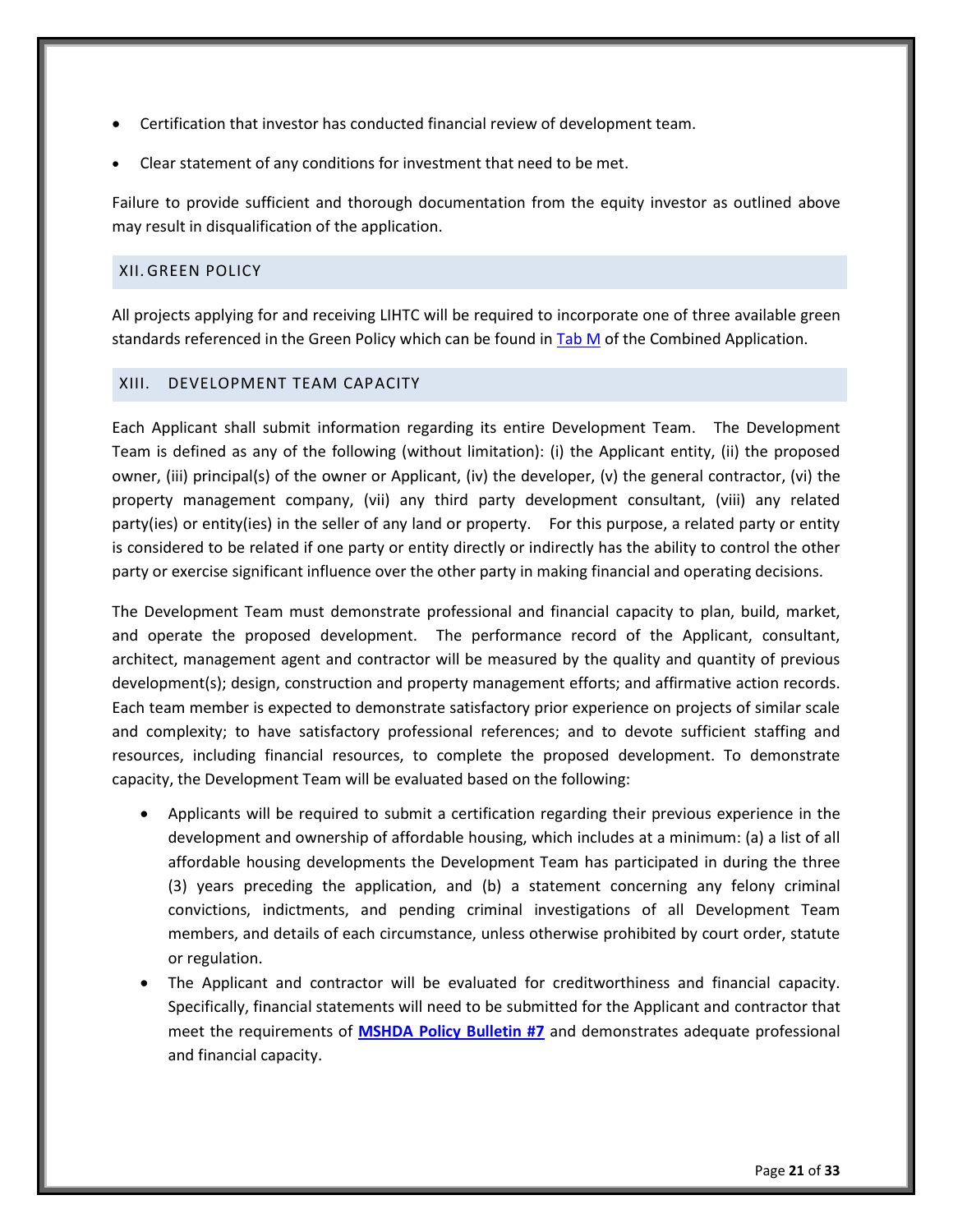- Certification that investor has conducted financial review of development team.
- Clear statement of any conditions for investment that need to be met.

Failure to provide sufficient and thorough documentation from the equity investor as outlined above may result in disqualification of the application.

# <span id="page-25-0"></span>XII. GREEN POLICY

All projects applying for and receiving LIHTC will be required to incorporate one of three available green standards referenced in the Green Policy which can be found i[n Tab M](http://www.michigan.gov/mshda/0,4641,7-141-5587_5601-60010--,00.html) of the Combined Application.

#### <span id="page-25-1"></span>XIII. DEVELOPMENT TEAM CAPACITY

Each Applicant shall submit information regarding its entire Development Team. The Development Team is defined as any of the following (without limitation): (i) the Applicant entity, (ii) the proposed owner, (iii) principal(s) of the owner or Applicant, (iv) the developer, (v) the general contractor, (vi) the property management company, (vii) any third party development consultant, (viii) any related party(ies) or entity(ies) in the seller of any land or property. For this purpose, a related party or entity is considered to be related if one party or entity directly or indirectly has the ability to control the other party or exercise significant influence over the other party in making financial and operating decisions.

The Development Team must demonstrate professional and financial capacity to plan, build, market, and operate the proposed development. The performance record of the Applicant, consultant, architect, management agent and contractor will be measured by the quality and quantity of previous development(s); design, construction and property management efforts; and affirmative action records. Each team member is expected to demonstrate satisfactory prior experience on projects of similar scale and complexity; to have satisfactory professional references; and to devote sufficient staffing and resources, including financial resources, to complete the proposed development. To demonstrate capacity, the Development Team will be evaluated based on the following:

- Applicants will be required to submit a certification regarding their previous experience in the development and ownership of affordable housing, which includes at a minimum: (a) a list of all affordable housing developments the Development Team has participated in during the three (3) years preceding the application, and (b) a statement concerning any felony criminal convictions, indictments, and pending criminal investigations of all Development Team members, and details of each circumstance, unless otherwise prohibited by court order, statute or regulation.
- The Applicant and contractor will be evaluated for creditworthiness and financial capacity. Specifically, financial statements will need to be submitted for the Applicant and contractor that meet the requirements of **[MSHDA Policy Bulletin #7](http://www.michigan.gov/documents/mshda/mshda_li_ca_32_tab_w_lihtc_policy_bulletins_183888_7.pdf)** and demonstrates adequate professional and financial capacity.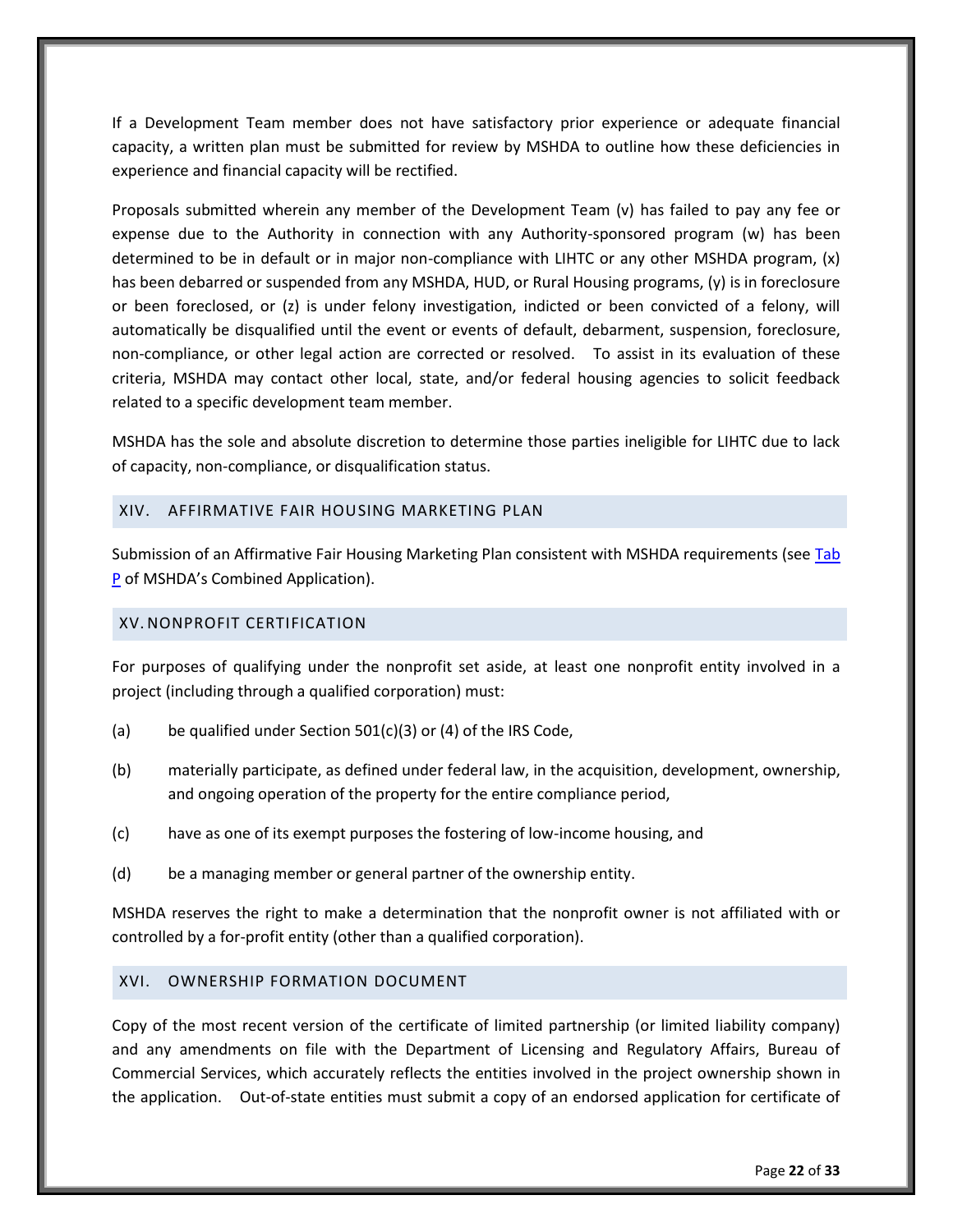If a Development Team member does not have satisfactory prior experience or adequate financial capacity, a written plan must be submitted for review by MSHDA to outline how these deficiencies in experience and financial capacity will be rectified.

Proposals submitted wherein any member of the Development Team (v) has failed to pay any fee or expense due to the Authority in connection with any Authority-sponsored program (w) has been determined to be in default or in major non-compliance with LIHTC or any other MSHDA program, (x) has been debarred or suspended from any MSHDA, HUD, or Rural Housing programs, (y) is in foreclosure or been foreclosed, or (z) is under felony investigation, indicted or been convicted of a felony, will automatically be disqualified until the event or events of default, debarment, suspension, foreclosure, non-compliance, or other legal action are corrected or resolved. To assist in its evaluation of these criteria, MSHDA may contact other local, state, and/or federal housing agencies to solicit feedback related to a specific development team member.

MSHDA has the sole and absolute discretion to determine those parties ineligible for LIHTC due to lack of capacity, non-compliance, or disqualification status.

#### <span id="page-26-0"></span>XIV. AFFIRMATIVE FAIR HOUSING MARKETING PLAN

Submission of an Affirmative Fair Housing Marketing Plan consistent with MSHDA requirements (see Tab [P](http://www.michigan.gov/mshda/0,4641,7-141-5587_5601-60010--,00.html) of MSHDA's Combined Application).

# <span id="page-26-1"></span>XV. NONPROFIT CERTIFICATION

For purposes of qualifying under the nonprofit set aside, at least one nonprofit entity involved in a project (including through a qualified corporation) must:

- (a) be qualified under Section 501(c)(3) or (4) of the IRS Code,
- (b) materially participate, as defined under federal law, in the acquisition, development, ownership, and ongoing operation of the property for the entire compliance period,
- (c) have as one of its exempt purposes the fostering of low-income housing, and
- (d) be a managing member or general partner of the ownership entity.

MSHDA reserves the right to make a determination that the nonprofit owner is not affiliated with or controlled by a for-profit entity (other than a qualified corporation).

#### <span id="page-26-2"></span>XVI. OWNERSHIP FORMATION DOCUMENT

Copy of the most recent version of the certificate of limited partnership (or limited liability company) and any amendments on file with the Department of Licensing and Regulatory Affairs, Bureau of Commercial Services, which accurately reflects the entities involved in the project ownership shown in the application. Out-of-state entities must submit a copy of an endorsed application for certificate of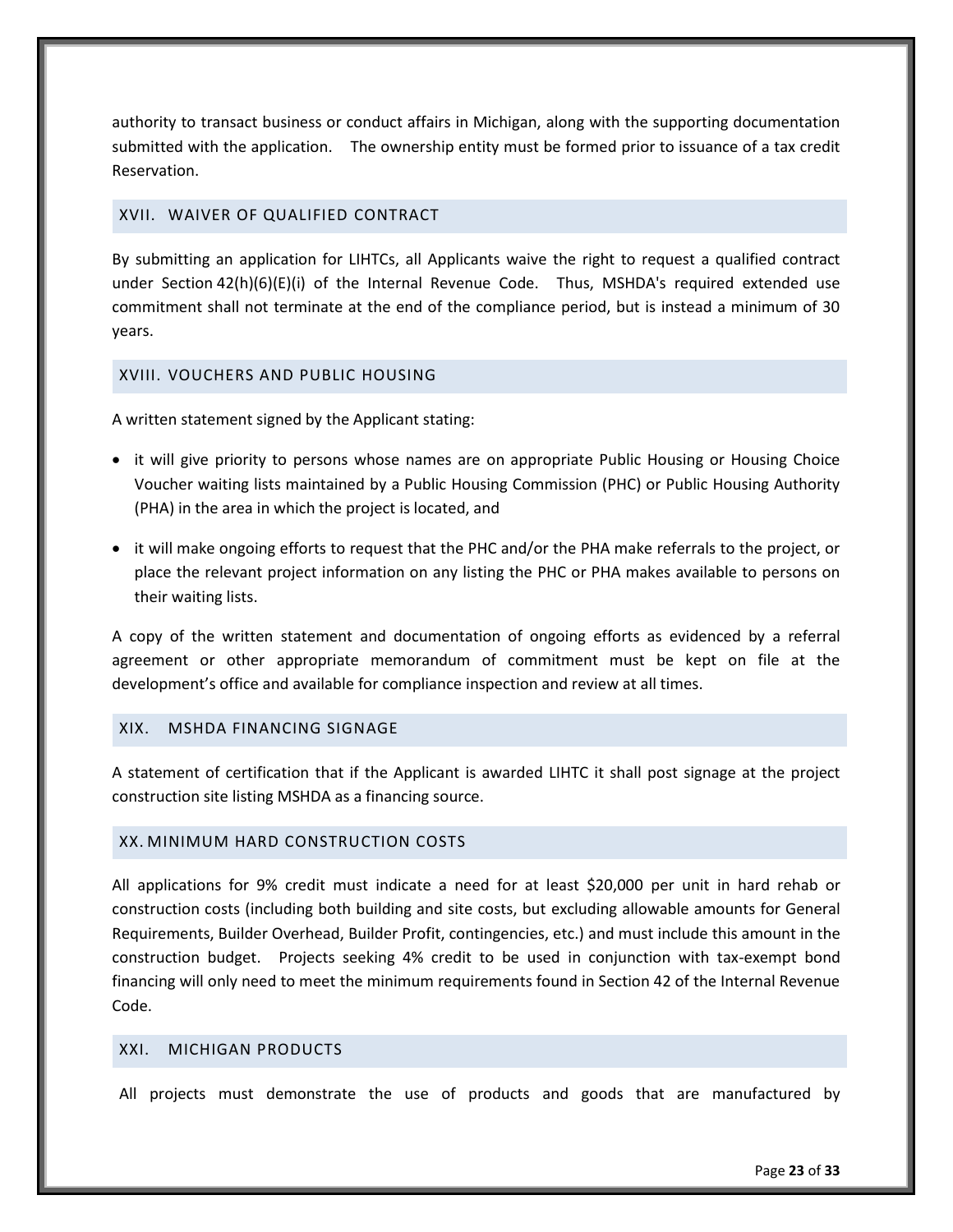authority to transact business or conduct affairs in Michigan, along with the supporting documentation submitted with the application. The ownership entity must be formed prior to issuance of a tax credit Reservation.

# <span id="page-27-0"></span>XVII. WAIVER OF QUALIFIED CONTRACT

By submitting an application for LIHTCs, all Applicants waive the right to request a qualified contract under Section  $42(h)(6)(E)(i)$  of the Internal Revenue Code. Thus, MSHDA's required extended use commitment shall not terminate at the end of the compliance period, but is instead a minimum of 30 years.

# <span id="page-27-1"></span>XVIII. VOUCHERS AND PUBLIC HOUSING

A written statement signed by the Applicant stating:

- it will give priority to persons whose names are on appropriate Public Housing or Housing Choice Voucher waiting lists maintained by a Public Housing Commission (PHC) or Public Housing Authority (PHA) in the area in which the project is located, and
- it will make ongoing efforts to request that the PHC and/or the PHA make referrals to the project, or place the relevant project information on any listing the PHC or PHA makes available to persons on their waiting lists.

A copy of the written statement and documentation of ongoing efforts as evidenced by a referral agreement or other appropriate memorandum of commitment must be kept on file at the development's office and available for compliance inspection and review at all times.

# <span id="page-27-2"></span>XIX. MSHDA FINANCING SIGNAGE

A statement of certification that if the Applicant is awarded LIHTC it shall post signage at the project construction site listing MSHDA as a financing source.

# <span id="page-27-3"></span>XX. MINIMUM HARD CONSTRUCTION COSTS

All applications for 9% credit must indicate a need for at least \$20,000 per unit in hard rehab or construction costs (including both building and site costs, but excluding allowable amounts for General Requirements, Builder Overhead, Builder Profit, contingencies, etc.) and must include this amount in the construction budget. Projects seeking 4% credit to be used in conjunction with tax-exempt bond financing will only need to meet the minimum requirements found in Section 42 of the Internal Revenue Code.

#### <span id="page-27-4"></span>XXI. MICHIGAN PRODUCTS

All projects must demonstrate the use of products and goods that are manufactured by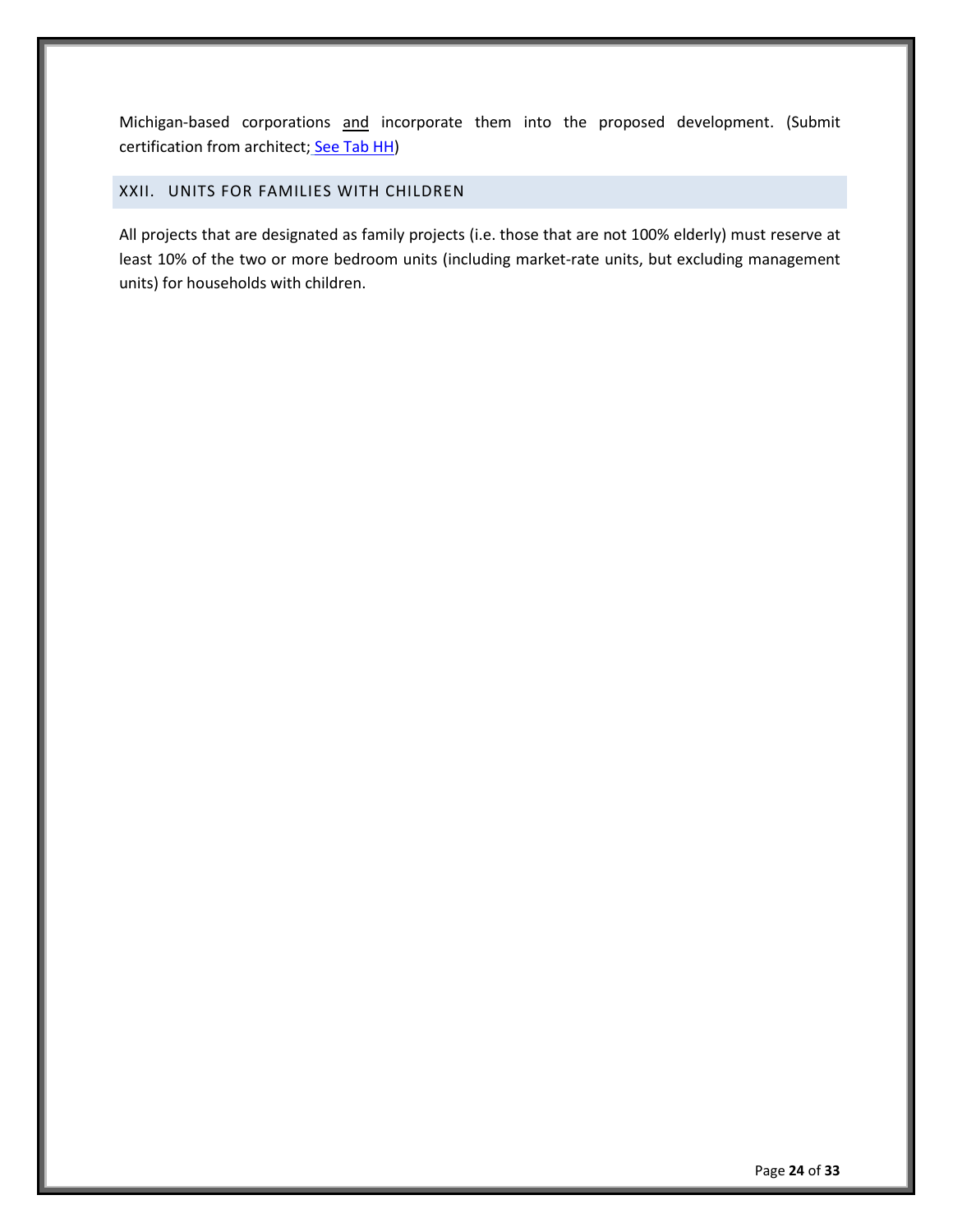Michigan-based corporations and incorporate them into the proposed development. (Submit certification from architect; [See Tab HH\)](http://www.michigan.gov/mshda/0,4641,7-141-5587_5601-60010--,00.html)

# <span id="page-28-0"></span>XXII. UNITS FOR FAMILIES WITH CHILDREN

All projects that are designated as family projects (i.e. those that are not 100% elderly) must reserve at least 10% of the two or more bedroom units (including market-rate units, but excluding management units) for households with children.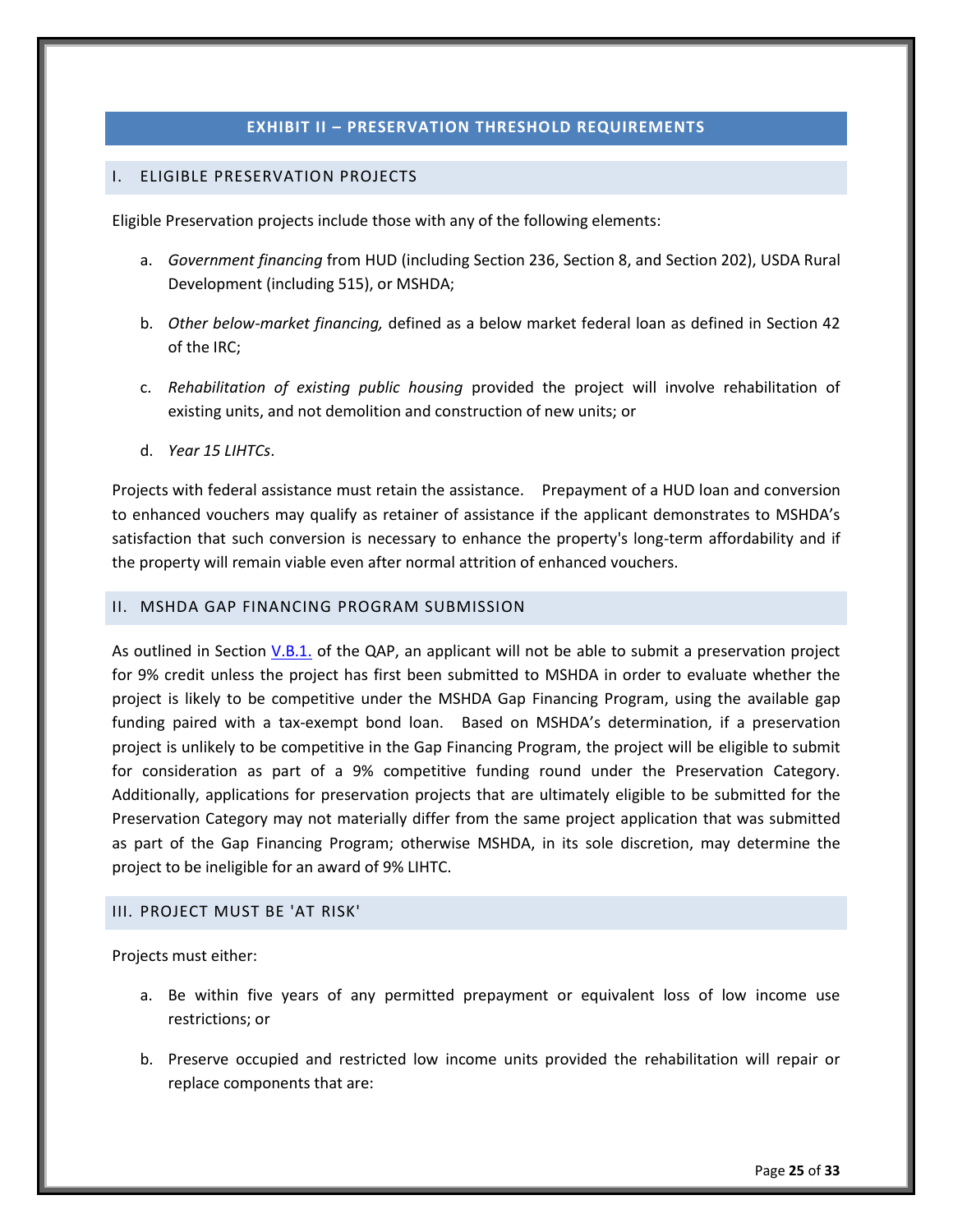# **EXHIBIT II – PRESERVATION THRESHOLD REQUIREMENTS**

#### <span id="page-29-1"></span><span id="page-29-0"></span>I. ELIGIBLE PRESERVATION PROJECTS

Eligible Preservation projects include those with any of the following elements:

- a. *Government financing* from HUD (including Section 236, Section 8, and Section 202), USDA Rural Development (including 515), or MSHDA;
- b. *Other below-market financing,* defined as a below market federal loan as defined in Section 42 of the IRC;
- c. *Rehabilitation of existing public housing* provided the project will involve rehabilitation of existing units, and not demolition and construction of new units; or
- d. *Year 15 LIHTCs*.

Projects with federal assistance must retain the assistance. Prepayment of a HUD loan and conversion to enhanced vouchers may qualify as retainer of assistance if the applicant demonstrates to MSHDA's satisfaction that such conversion is necessary to enhance the property's long-term affordability and if the property will remain viable even after normal attrition of enhanced vouchers.

#### <span id="page-29-2"></span>II. MSHDA GAP FINANCING PROGRAM SUBMISSION

As outlined in Section [V.B.1.](#page-7-1) of the QAP, an applicant will not be able to submit a preservation project for 9% credit unless the project has first been submitted to MSHDA in order to evaluate whether the project is likely to be competitive under the MSHDA Gap Financing Program, using the available gap funding paired with a tax-exempt bond loan. Based on MSHDA's determination, if a preservation project is unlikely to be competitive in the Gap Financing Program, the project will be eligible to submit for consideration as part of a 9% competitive funding round under the Preservation Category. Additionally, applications for preservation projects that are ultimately eligible to be submitted for the Preservation Category may not materially differ from the same project application that was submitted as part of the Gap Financing Program; otherwise MSHDA, in its sole discretion, may determine the project to be ineligible for an award of 9% LIHTC.

#### <span id="page-29-3"></span>III. PROJECT MUST BE 'AT RISK'

Projects must either:

- a. Be within five years of any permitted prepayment or equivalent loss of low income use restrictions; or
- b. Preserve occupied and restricted low income units provided the rehabilitation will repair or replace components that are: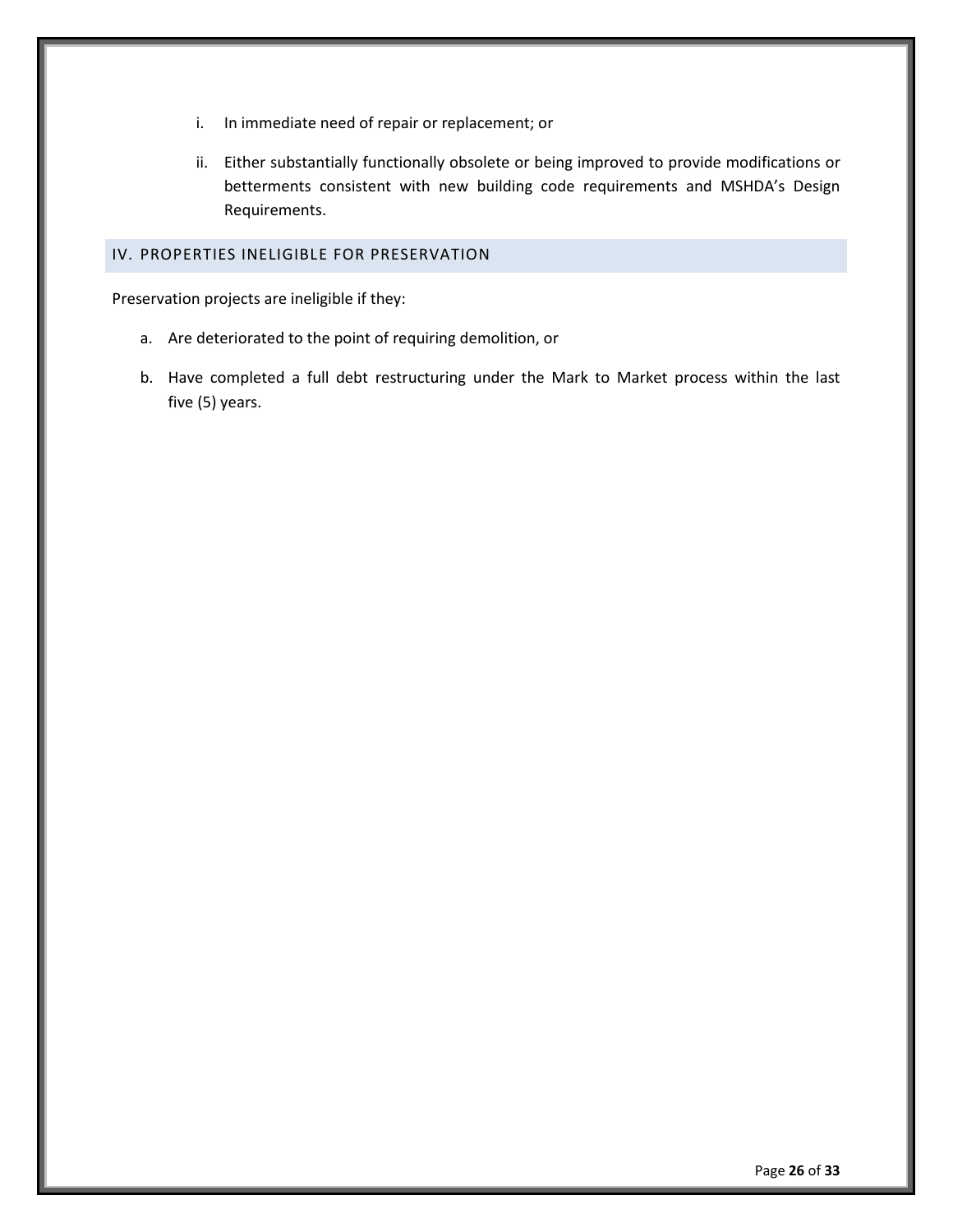- i. In immediate need of repair or replacement; or
- ii. Either substantially functionally obsolete or being improved to provide modifications or betterments consistent with new building code requirements and MSHDA's Design Requirements.

# <span id="page-30-0"></span>IV. PROPERTIES INELIGIBLE FOR PRESERVATION

Preservation projects are ineligible if they:

- a. Are deteriorated to the point of requiring demolition, or
- b. Have completed a full debt restructuring under the Mark to Market process within the last five (5) years.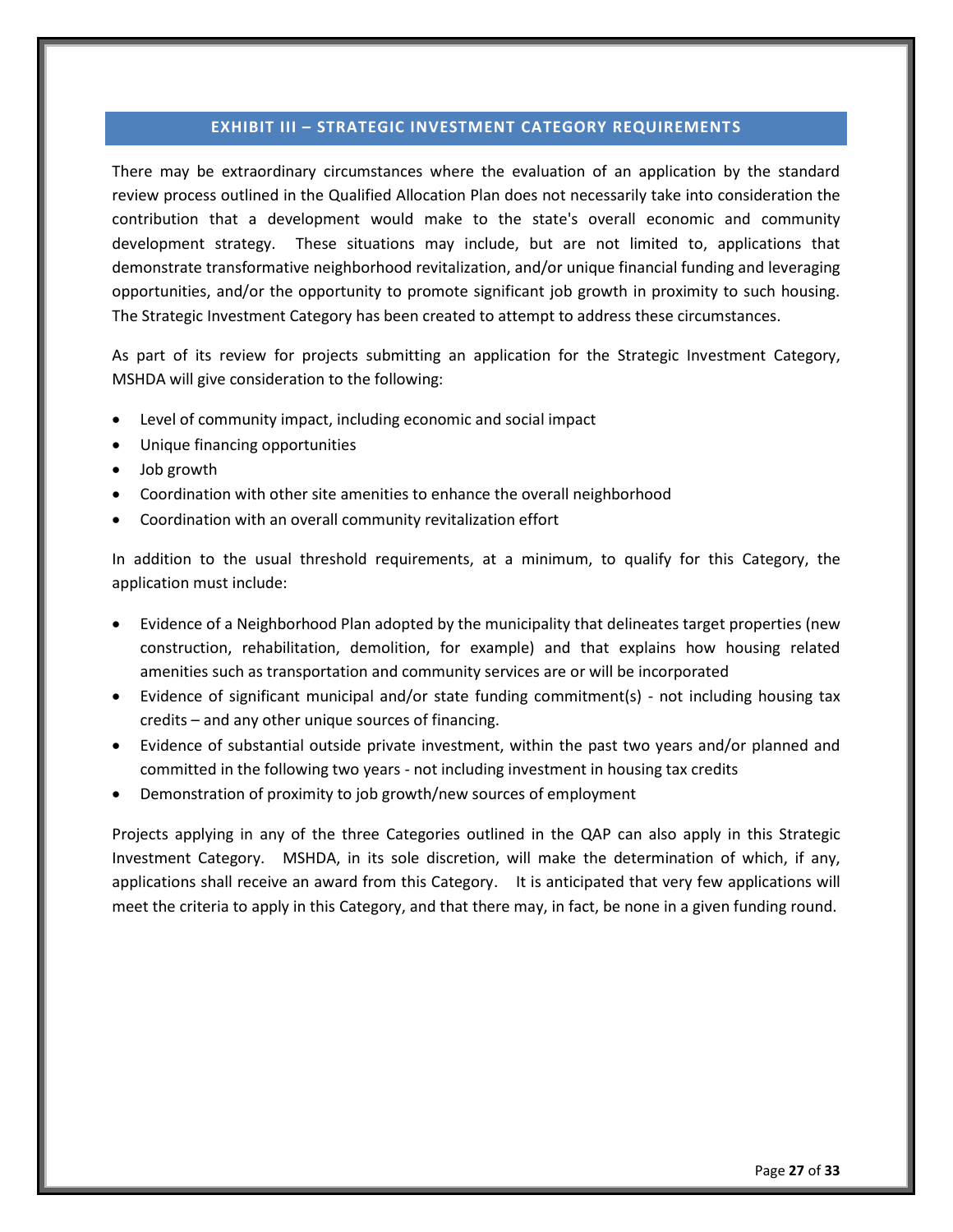#### **EXHIBIT III – STRATEGIC INVESTMENT CATEGORY REQUIREMENTS**

<span id="page-31-0"></span>There may be extraordinary circumstances where the evaluation of an application by the standard review process outlined in the Qualified Allocation Plan does not necessarily take into consideration the contribution that a development would make to the state's overall economic and community development strategy. These situations may include, but are not limited to, applications that demonstrate transformative neighborhood revitalization, and/or unique financial funding and leveraging opportunities, and/or the opportunity to promote significant job growth in proximity to such housing. The Strategic Investment Category has been created to attempt to address these circumstances.

As part of its review for projects submitting an application for the Strategic Investment Category, MSHDA will give consideration to the following:

- Level of community impact, including economic and social impact
- Unique financing opportunities
- Job growth
- Coordination with other site amenities to enhance the overall neighborhood
- Coordination with an overall community revitalization effort

In addition to the usual threshold requirements, at a minimum, to qualify for this Category, the application must include:

- Evidence of a Neighborhood Plan adopted by the municipality that delineates target properties (new construction, rehabilitation, demolition, for example) and that explains how housing related amenities such as transportation and community services are or will be incorporated
- Evidence of significant municipal and/or state funding commitment(s) not including housing tax credits – and any other unique sources of financing.
- Evidence of substantial outside private investment, within the past two years and/or planned and committed in the following two years - not including investment in housing tax credits
- Demonstration of proximity to job growth/new sources of employment

Projects applying in any of the three Categories outlined in the QAP can also apply in this Strategic Investment Category. MSHDA, in its sole discretion, will make the determination of which, if any, applications shall receive an award from this Category. It is anticipated that very few applications will meet the criteria to apply in this Category, and that there may, in fact, be none in a given funding round.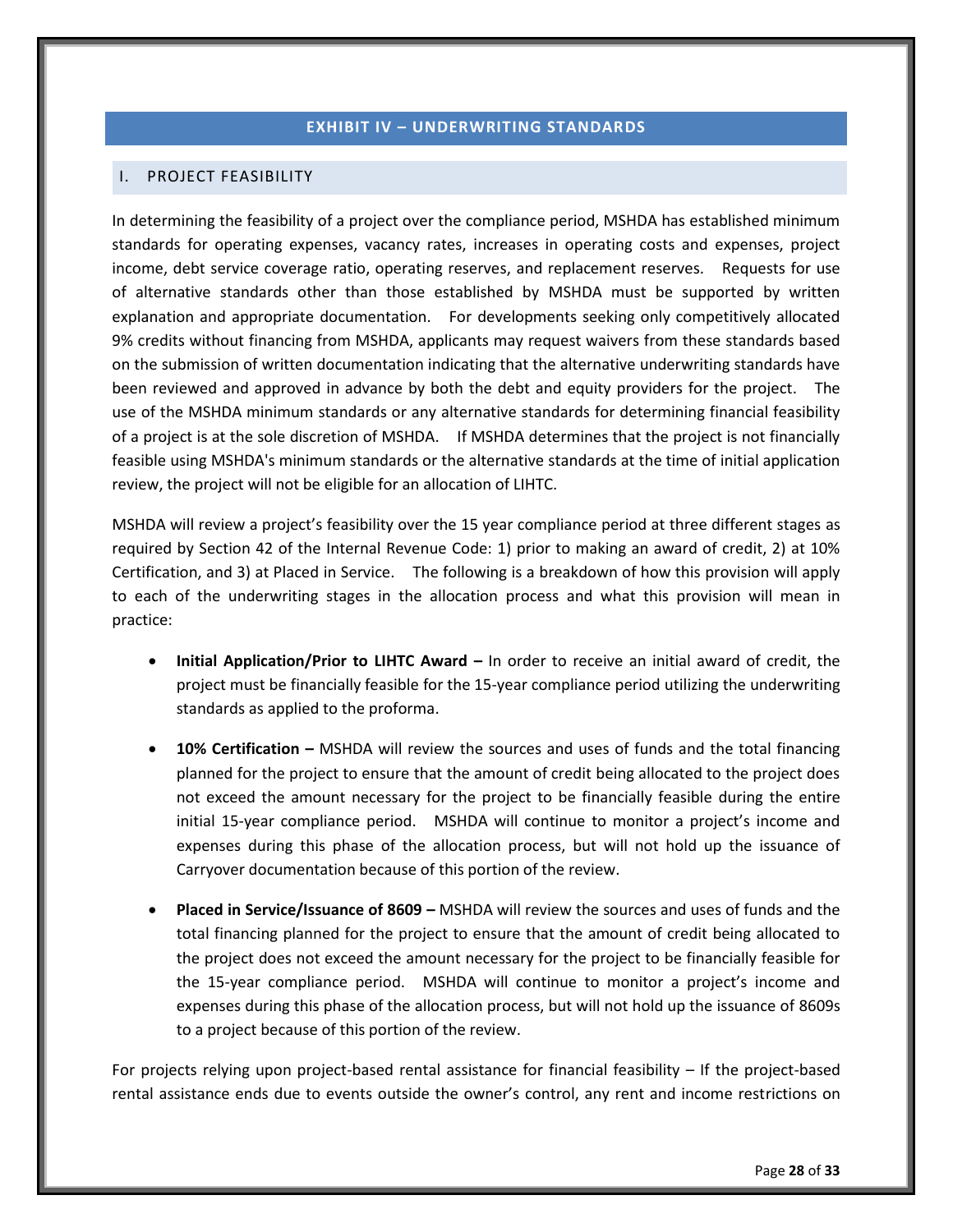# **EXHIBIT IV – UNDERWRITING STANDARDS**

#### <span id="page-32-1"></span><span id="page-32-0"></span>I. PROJECT FEASIBILITY

In determining the feasibility of a project over the compliance period, MSHDA has established minimum standards for operating expenses, vacancy rates, increases in operating costs and expenses, project income, debt service coverage ratio, operating reserves, and replacement reserves. Requests for use of alternative standards other than those established by MSHDA must be supported by written explanation and appropriate documentation. For developments seeking only competitively allocated 9% credits without financing from MSHDA, applicants may request waivers from these standards based on the submission of written documentation indicating that the alternative underwriting standards have been reviewed and approved in advance by both the debt and equity providers for the project. The use of the MSHDA minimum standards or any alternative standards for determining financial feasibility of a project is at the sole discretion of MSHDA. If MSHDA determines that the project is not financially feasible using MSHDA's minimum standards or the alternative standards at the time of initial application review, the project will not be eligible for an allocation of LIHTC.

MSHDA will review a project's feasibility over the 15 year compliance period at three different stages as required by Section 42 of the Internal Revenue Code: 1) prior to making an award of credit, 2) at 10% Certification, and 3) at Placed in Service. The following is a breakdown of how this provision will apply to each of the underwriting stages in the allocation process and what this provision will mean in practice:

- **Initial Application/Prior to LIHTC Award –** In order to receive an initial award of credit, the project must be financially feasible for the 15-year compliance period utilizing the underwriting standards as applied to the proforma.
- **10% Certification –** MSHDA will review the sources and uses of funds and the total financing planned for the project to ensure that the amount of credit being allocated to the project does not exceed the amount necessary for the project to be financially feasible during the entire initial 15-year compliance period. MSHDA will continue to monitor a project's income and expenses during this phase of the allocation process, but will not hold up the issuance of Carryover documentation because of this portion of the review.
- **Placed in Service/Issuance of 8609 –** MSHDA will review the sources and uses of funds and the total financing planned for the project to ensure that the amount of credit being allocated to the project does not exceed the amount necessary for the project to be financially feasible for the 15-year compliance period. MSHDA will continue to monitor a project's income and expenses during this phase of the allocation process, but will not hold up the issuance of 8609s to a project because of this portion of the review.

For projects relying upon project-based rental assistance for financial feasibility – If the project-based rental assistance ends due to events outside the owner's control, any rent and income restrictions on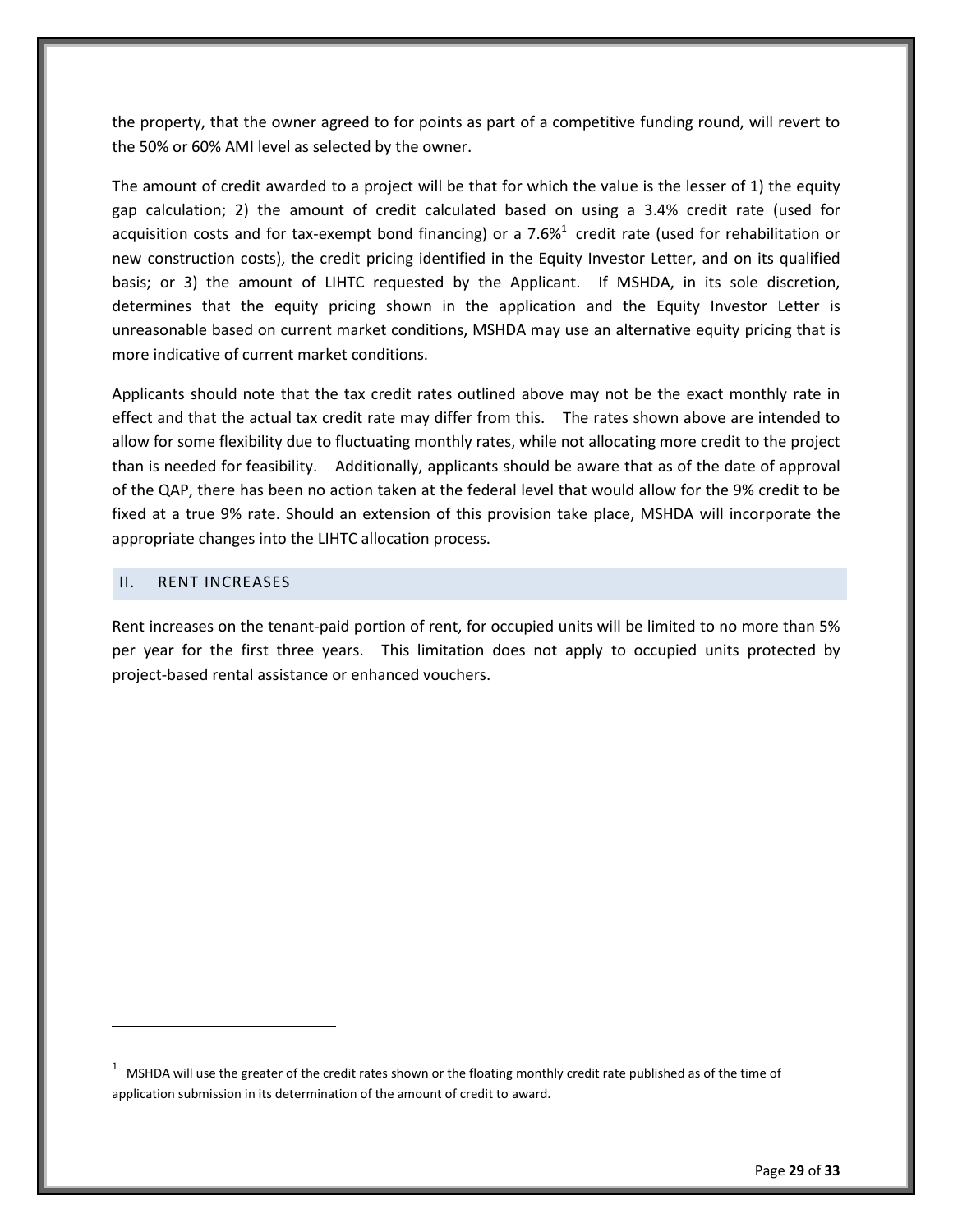the property, that the owner agreed to for points as part of a competitive funding round, will revert to the 50% or 60% AMI level as selected by the owner.

The amount of credit awarded to a project will be that for which the value is the lesser of 1) the equity gap calculation; 2) the amount of credit calculated based on using a 3.4% credit rate (used for acquisition costs and for tax-exempt bond financing) or a 7.6% $^1$  credit rate (used for rehabilitation or new construction costs), the credit pricing identified in the Equity Investor Letter, and on its qualified basis; or 3) the amount of LIHTC requested by the Applicant. If MSHDA, in its sole discretion, determines that the equity pricing shown in the application and the Equity Investor Letter is unreasonable based on current market conditions, MSHDA may use an alternative equity pricing that is more indicative of current market conditions.

Applicants should note that the tax credit rates outlined above may not be the exact monthly rate in effect and that the actual tax credit rate may differ from this. The rates shown above are intended to allow for some flexibility due to fluctuating monthly rates, while not allocating more credit to the project than is needed for feasibility. Additionally, applicants should be aware that as of the date of approval of the QAP, there has been no action taken at the federal level that would allow for the 9% credit to be fixed at a true 9% rate. Should an extension of this provision take place, MSHDA will incorporate the appropriate changes into the LIHTC allocation process.

#### <span id="page-33-0"></span>II. RENT INCREASES

 $\overline{a}$ 

Rent increases on the tenant-paid portion of rent, for occupied units will be limited to no more than 5% per year for the first three years. This limitation does not apply to occupied units protected by project-based rental assistance or enhanced vouchers.

 $1$  MSHDA will use the greater of the credit rates shown or the floating monthly credit rate published as of the time of application submission in its determination of the amount of credit to award.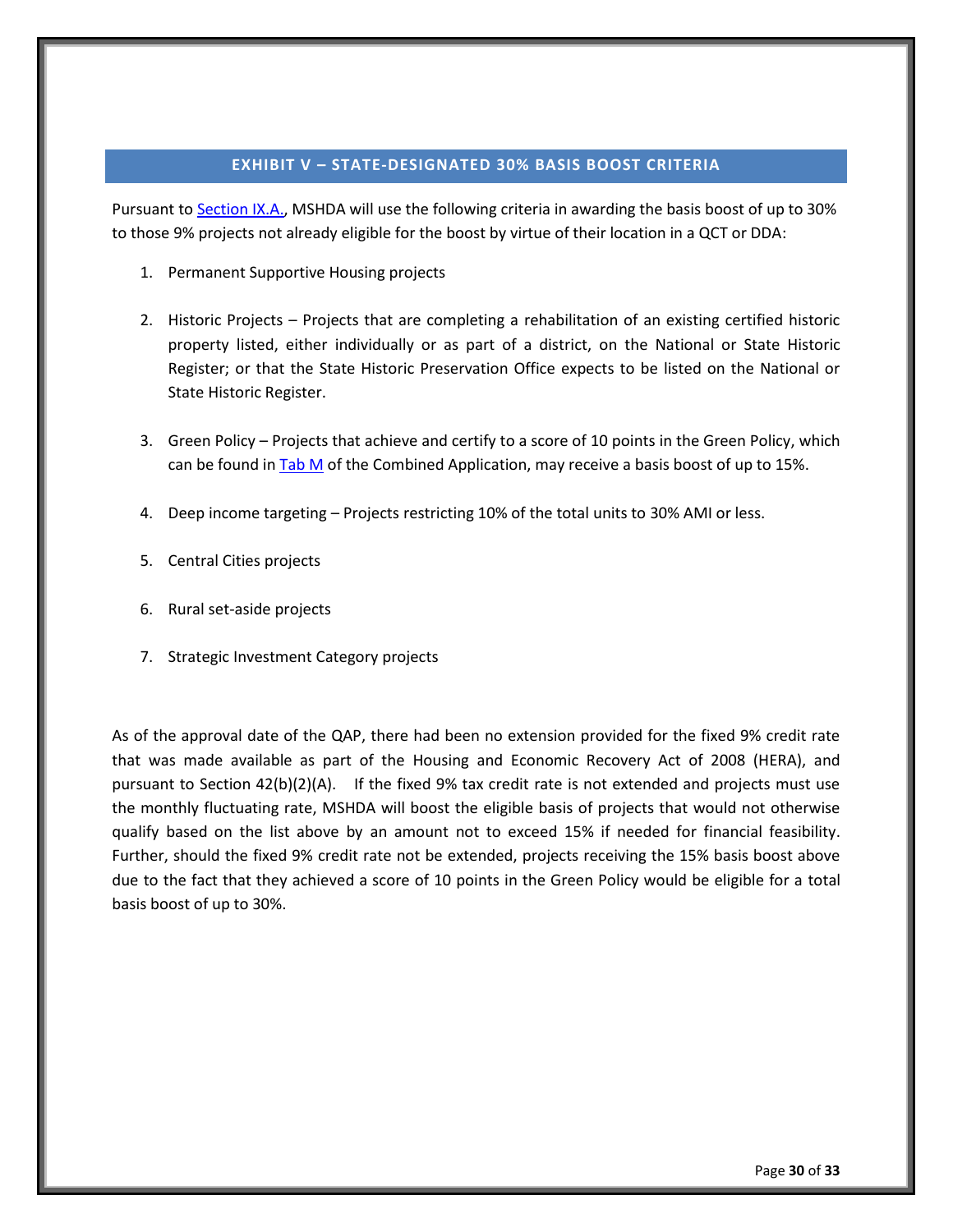#### **EXHIBIT V – STATE-DESIGNATED 30% BASIS BOOST CRITERIA**

<span id="page-34-0"></span>Pursuant t[o Section IX.A.,](#page-13-3) MSHDA will use the following criteria in awarding the basis boost of up to 30% to those 9% projects not already eligible for the boost by virtue of their location in a QCT or DDA:

- 1. Permanent Supportive Housing projects
- 2. Historic Projects Projects that are completing a rehabilitation of an existing certified historic property listed, either individually or as part of a district, on the National or State Historic Register; or that the State Historic Preservation Office expects to be listed on the National or State Historic Register.
- 3. Green Policy Projects that achieve and certify to a score of 10 points in the Green Policy, which can be found i[n Tab M](http://www.michigan.gov/mshda/0,4641,7-141-5587_5601-60010--,00.html) of the Combined Application, may receive a basis boost of up to 15%.
- 4. Deep income targeting Projects restricting 10% of the total units to 30% AMI or less.
- 5. Central Cities projects
- 6. Rural set-aside projects
- 7. Strategic Investment Category projects

As of the approval date of the QAP, there had been no extension provided for the fixed 9% credit rate that was made available as part of the Housing and Economic Recovery Act of 2008 (HERA), and pursuant to Section 42(b)(2)(A). If the fixed 9% tax credit rate is not extended and projects must use the monthly fluctuating rate, MSHDA will boost the eligible basis of projects that would not otherwise qualify based on the list above by an amount not to exceed 15% if needed for financial feasibility. Further, should the fixed 9% credit rate not be extended, projects receiving the 15% basis boost above due to the fact that they achieved a score of 10 points in the Green Policy would be eligible for a total basis boost of up to 30%.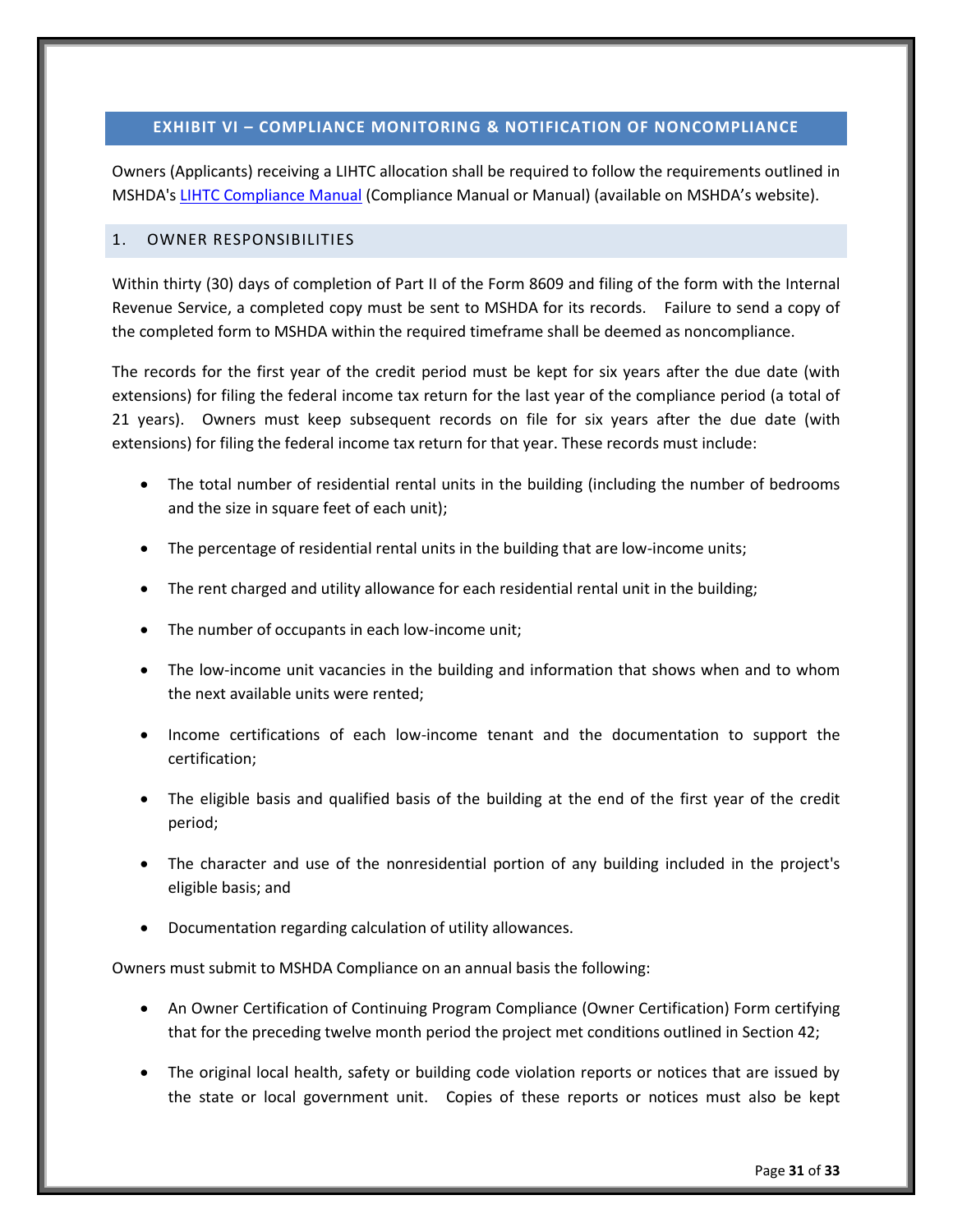# <span id="page-35-0"></span>**EXHIBIT VI – COMPLIANCE MONITORING & NOTIFICATION OF NONCOMPLIANCE**

Owners (Applicants) receiving a LIHTC allocation shall be required to follow the requirements outlined in MSHDA'[s LIHTC Compliance Manual](http://www.michigan.gov/mshda/0,4641,7-141-8002_26576_26578---,00.html) (Compliance Manual or Manual) (available on MSHDA's website).

#### <span id="page-35-1"></span>1. OWNER RESPONSIBILITIES

Within thirty (30) days of completion of Part II of the Form 8609 and filing of the form with the Internal Revenue Service, a completed copy must be sent to MSHDA for its records. Failure to send a copy of the completed form to MSHDA within the required timeframe shall be deemed as noncompliance.

The records for the first year of the credit period must be kept for six years after the due date (with extensions) for filing the federal income tax return for the last year of the compliance period (a total of 21 years). Owners must keep subsequent records on file for six years after the due date (with extensions) for filing the federal income tax return for that year. These records must include:

- The total number of residential rental units in the building (including the number of bedrooms and the size in square feet of each unit);
- The percentage of residential rental units in the building that are low-income units;
- The rent charged and utility allowance for each residential rental unit in the building;
- The number of occupants in each low-income unit;
- The low-income unit vacancies in the building and information that shows when and to whom the next available units were rented;
- Income certifications of each low-income tenant and the documentation to support the certification;
- The eligible basis and qualified basis of the building at the end of the first year of the credit period;
- The character and use of the nonresidential portion of any building included in the project's eligible basis; and
- Documentation regarding calculation of utility allowances.

Owners must submit to MSHDA Compliance on an annual basis the following:

- An Owner Certification of Continuing Program Compliance (Owner Certification) Form certifying that for the preceding twelve month period the project met conditions outlined in Section 42;
- The original local health, safety or building code violation reports or notices that are issued by the state or local government unit. Copies of these reports or notices must also be kept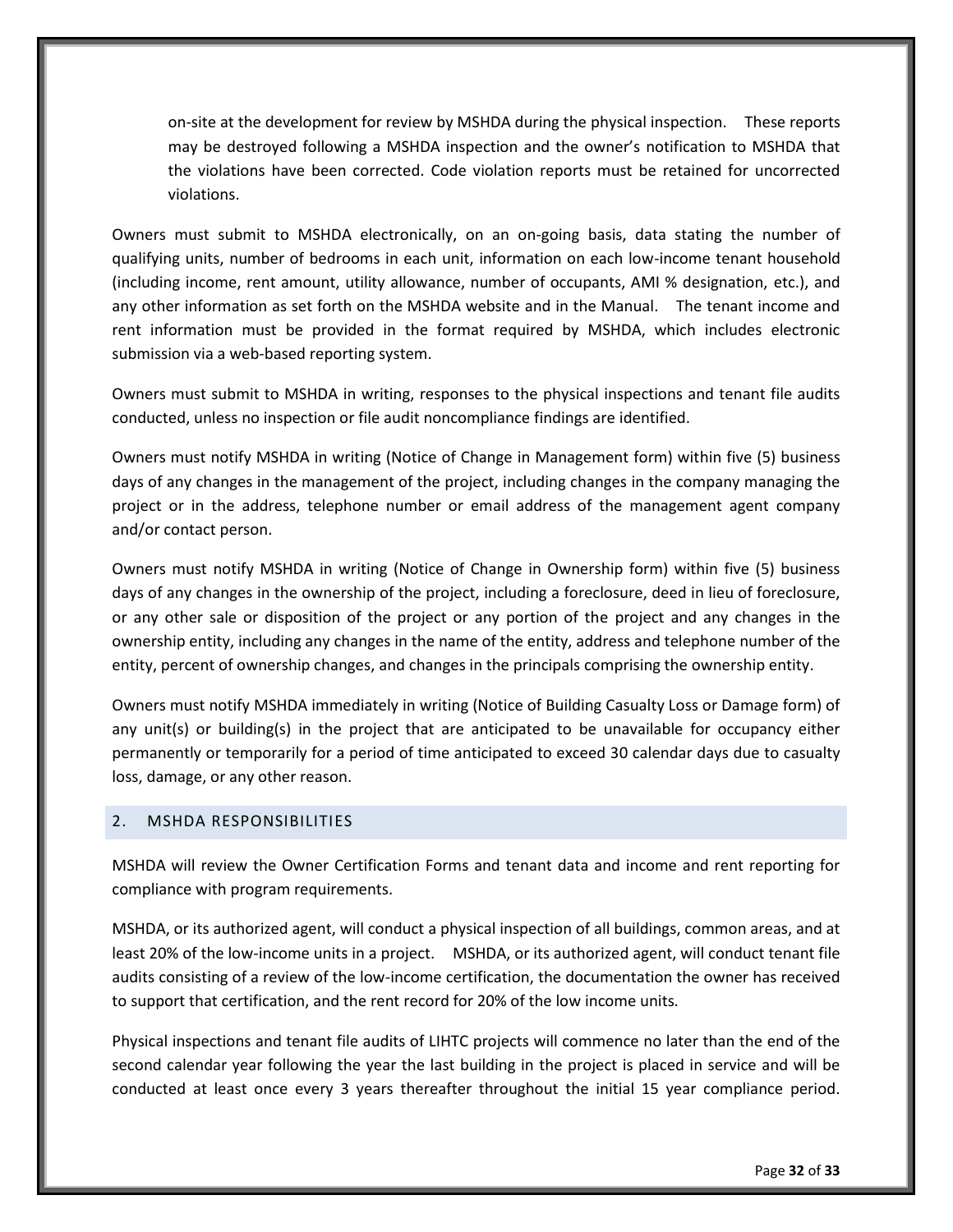on-site at the development for review by MSHDA during the physical inspection. These reports may be destroyed following a MSHDA inspection and the owner's notification to MSHDA that the violations have been corrected. Code violation reports must be retained for uncorrected violations.

Owners must submit to MSHDA electronically, on an on-going basis, data stating the number of qualifying units, number of bedrooms in each unit, information on each low-income tenant household (including income, rent amount, utility allowance, number of occupants, AMI % designation, etc.), and any other information as set forth on the MSHDA website and in the Manual. The tenant income and rent information must be provided in the format required by MSHDA, which includes electronic submission via a web-based reporting system.

Owners must submit to MSHDA in writing, responses to the physical inspections and tenant file audits conducted, unless no inspection or file audit noncompliance findings are identified.

Owners must notify MSHDA in writing (Notice of Change in Management form) within five (5) business days of any changes in the management of the project, including changes in the company managing the project or in the address, telephone number or email address of the management agent company and/or contact person.

Owners must notify MSHDA in writing (Notice of Change in Ownership form) within five (5) business days of any changes in the ownership of the project, including a foreclosure, deed in lieu of foreclosure, or any other sale or disposition of the project or any portion of the project and any changes in the ownership entity, including any changes in the name of the entity, address and telephone number of the entity, percent of ownership changes, and changes in the principals comprising the ownership entity.

Owners must notify MSHDA immediately in writing (Notice of Building Casualty Loss or Damage form) of any unit(s) or building(s) in the project that are anticipated to be unavailable for occupancy either permanently or temporarily for a period of time anticipated to exceed 30 calendar days due to casualty loss, damage, or any other reason.

#### <span id="page-36-0"></span>2. MSHDA RESPONSIBILITIES

MSHDA will review the Owner Certification Forms and tenant data and income and rent reporting for compliance with program requirements.

MSHDA, or its authorized agent, will conduct a physical inspection of all buildings, common areas, and at least 20% of the low-income units in a project. MSHDA, or its authorized agent, will conduct tenant file audits consisting of a review of the low-income certification, the documentation the owner has received to support that certification, and the rent record for 20% of the low income units.

Physical inspections and tenant file audits of LIHTC projects will commence no later than the end of the second calendar year following the year the last building in the project is placed in service and will be conducted at least once every 3 years thereafter throughout the initial 15 year compliance period.